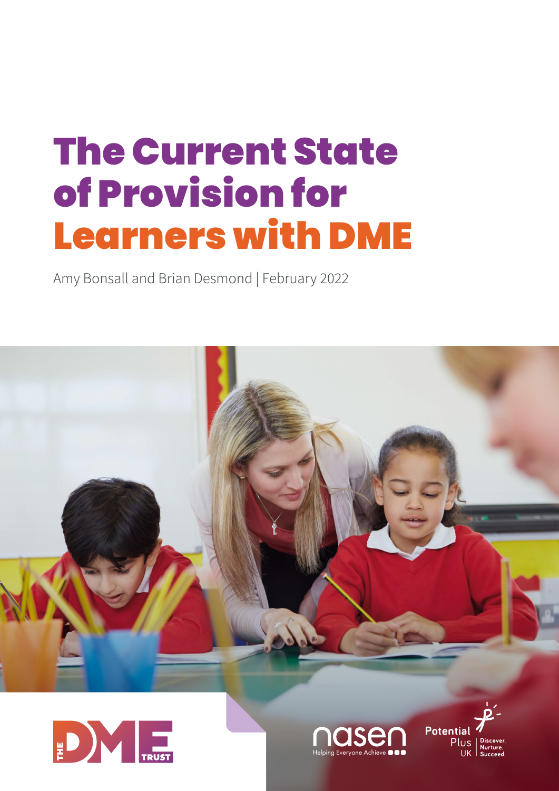# The Current State of Provision for Learners with DME

Amy Bonsall and Brian Desmond | February 2022







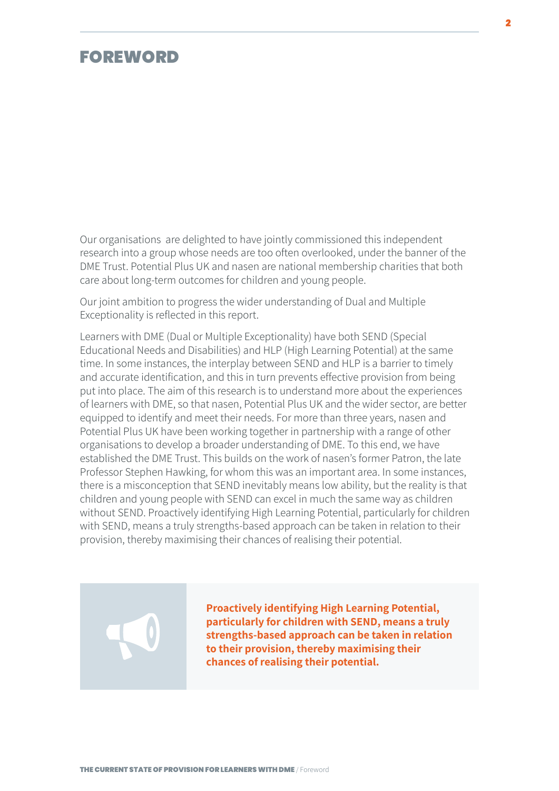### <span id="page-1-0"></span>FOREWORD

Our organisations are delighted to have jointly commissioned this independent research into a group whose needs are too often overlooked, under the banner of the DME Trust. Potential Plus UK and nasen are national membership charities that both care about long-term outcomes for children and young people.

Our joint ambition to progress the wider understanding of Dual and Multiple Exceptionality is reflected in this report.

Learners with DME (Dual or Multiple Exceptionality) have both SEND (Special Educational Needs and Disabilities) and HLP (High Learning Potential) at the same time. In some instances, the interplay between SEND and HLP is a barrier to timely and accurate identification, and this in turn prevents effective provision from being put into place. The aim of this research is to understand more about the experiences of learners with DME, so that nasen, Potential Plus UK and the wider sector, are better equipped to identify and meet their needs. For more than three years, nasen and Potential Plus UK have been working together in partnership with a range of other organisations to develop a broader understanding of DME. To this end, we have established the DME Trust. This builds on the work of nasen's former Patron, the late Professor Stephen Hawking, for whom this was an important area. In some instances, there is a misconception that SEND inevitably means low ability, but the reality is that children and young people with SEND can excel in much the same way as children without SEND. Proactively identifying High Learning Potential, particularly for children with SEND, means a truly strengths-based approach can be taken in relation to their provision, thereby maximising their chances of realising their potential.

> **Proactively identifying High Learning Potential, particularly for children with SEND, means a truly strengths-based approach can be taken in relation to their provision, thereby maximising their chances of realising their potential.**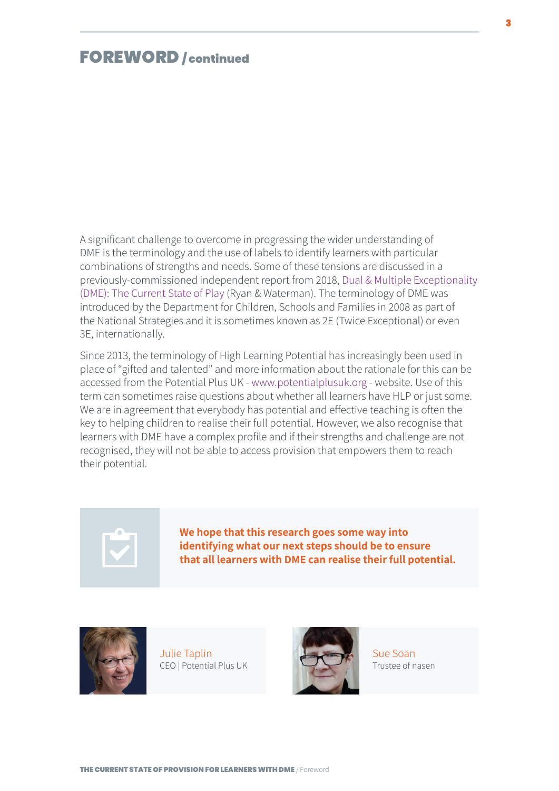### FOREWORD / continued

A significant challenge to overcome in progressing the wider understanding of DME is the terminology and the use of labels to identify learners with particular combinations of strengths and needs. Some of these tensions are discussed in a previously-commissioned independent report from 2018, Dual & Multiple Exceptionality (DME): The Current State of Play (Ryan & Waterman). The terminology of DME was introduced by the Department for Children, Schools and Families in 2008 as part of the National Strategies and it is sometimes known as 2E (Twice Exceptional) or even 3E, internationally.

Since 2013, the terminology of High Learning Potential has increasingly been used in place of "gifted and talented" and more information about the rationale for this can be accessed from the Potential Plus UK - www.potentialplusuk.org - website. Use of this term can sometimes raise questions about whether all learners have HLP or just some. We are in agreement that everybody has potential and effective teaching is often the key to helping children to realise their full potential. However, we also recognise that learners with DME have a complex profile and if their strengths and challenge are not recognised, they will not be able to access provision that empowers them to reach their potential.

**We hope that this research goes some way into identifying what our next steps should be to ensure that all learners with DME can realise their full potential.** 



Julie Taplin CEO | Potential Plus UK



Sue Soan Trustee of nasen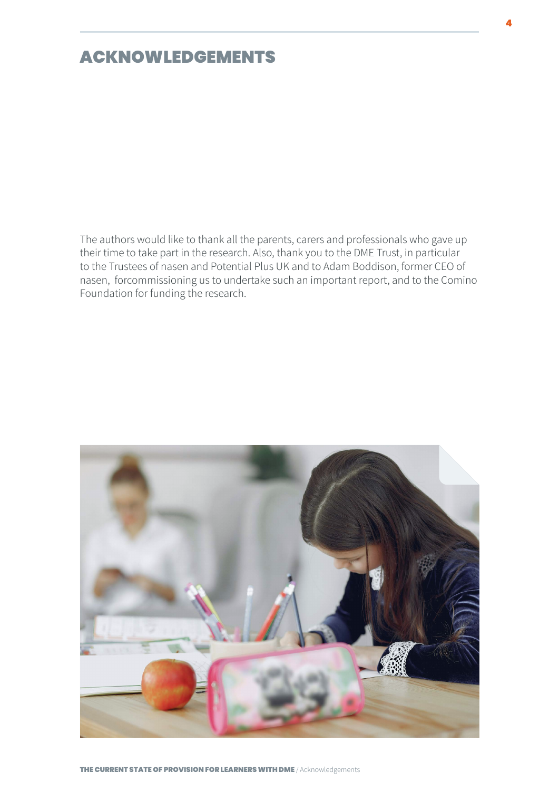### <span id="page-3-0"></span>ACKNOWLEDGEMENTS

The authors would like to thank all the parents, carers and professionals who gave up their time to take part in the research. Also, thank you to the DME Trust, in particular to the Trustees of nasen and Potential Plus UK and to Adam Boddison, former CEO of nasen, forcommissioning us to undertake such an important report, and to the Comino Foundation for funding the research.

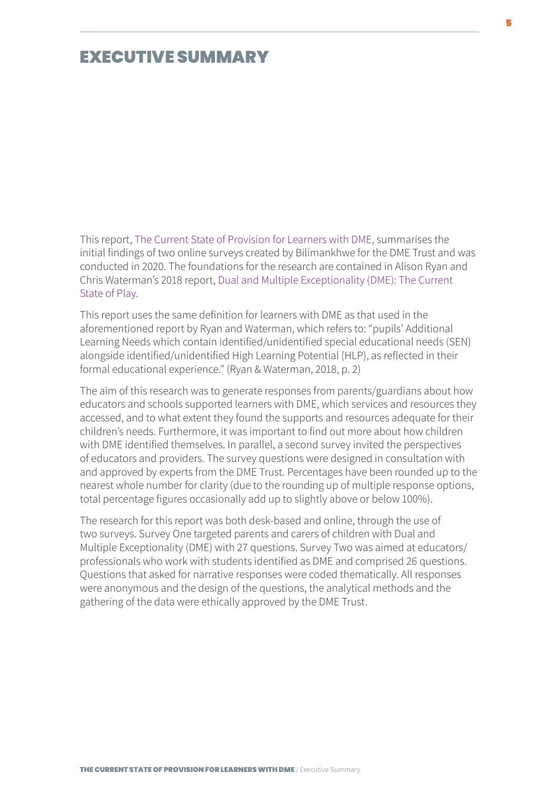<span id="page-4-0"></span>This report, The Current State of Provision for Learners with DME, summarises the initial findings of two online surveys created by Bilimankhwe for the DME Trust and was conducted in 2020. The foundations for the research are contained in Alison Ryan and Chris Waterman's 2018 report, Dual and Multiple Exceptionality (DME): The Current State of Play.

This report uses the same definition for learners with DME as that used in the aforementioned report by Ryan and Waterman, which refers to: "pupils' Additional Learning Needs which contain identified/unidentified special educational needs (SEN) alongside identified/unidentified High Learning Potential (HLP), as reflected in their formal educational experience." (Ryan & Waterman, 2018, p. 2)

The aim of this research was to generate responses from parents/guardians about how educators and schools supported learners with DME, which services and resources they accessed, and to what extent they found the supports and resources adequate for their children's needs. Furthermore, it was important to find out more about how children with DME identified themselves. In parallel, a second survey invited the perspectives of educators and providers. The survey questions were designed in consultation with and approved by experts from the DME Trust. Percentages have been rounded up to the nearest whole number for clarity (due to the rounding up of multiple response options, total percentage figures occasionally add up to slightly above or below 100%).

The research for this report was both desk-based and online, through the use of two surveys. Survey One targeted parents and carers of children with Dual and Multiple Exceptionality (DME) with 27 questions. Survey Two was aimed at educators/ professionals who work with students identified as DME and comprised 26 questions. Questions that asked for narrative responses were coded thematically. All responses were anonymous and the design of the questions, the analytical methods and the gathering of the data were ethically approved by the DME Trust.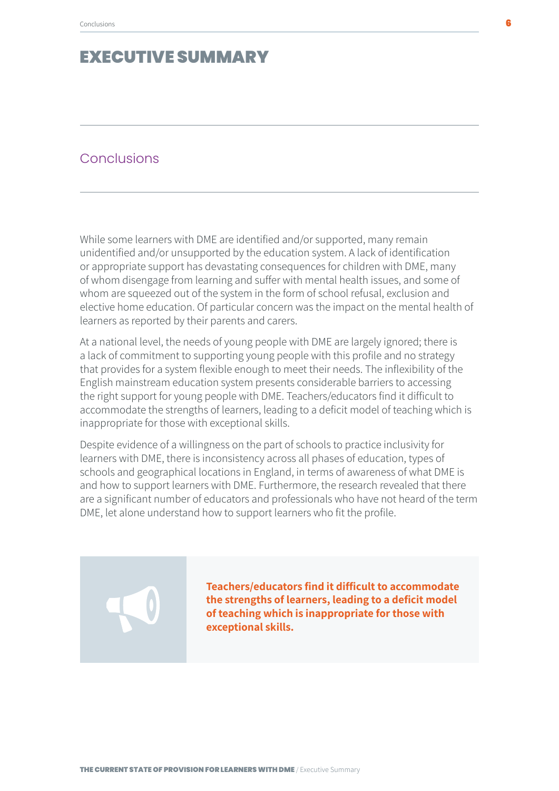#### **Conclusions**

While some learners with DME are identified and/or supported, many remain unidentified and/or unsupported by the education system. A lack of identification or appropriate support has devastating consequences for children with DME, many of whom disengage from learning and suffer with mental health issues, and some of whom are squeezed out of the system in the form of school refusal, exclusion and elective home education. Of particular concern was the impact on the mental health of learners as reported by their parents and carers.

At a national level, the needs of young people with DME are largely ignored; there is a lack of commitment to supporting young people with this profile and no strategy that provides for a system flexible enough to meet their needs. The inflexibility of the English mainstream education system presents considerable barriers to accessing the right support for young people with DME. Teachers/educators find it difficult to accommodate the strengths of learners, leading to a deficit model of teaching which is inappropriate for those with exceptional skills.

Despite evidence of a willingness on the part of schools to practice inclusivity for learners with DME, there is inconsistency across all phases of education, types of schools and geographical locations in England, in terms of awareness of what DME is and how to support learners with DME. Furthermore, the research revealed that there are a significant number of educators and professionals who have not heard of the term DME, let alone understand how to support learners who fit the profile.

> **Teachers/educators find it difficult to accommodate the strengths of learners, leading to a deficit model of teaching which is inappropriate for those with exceptional skills.**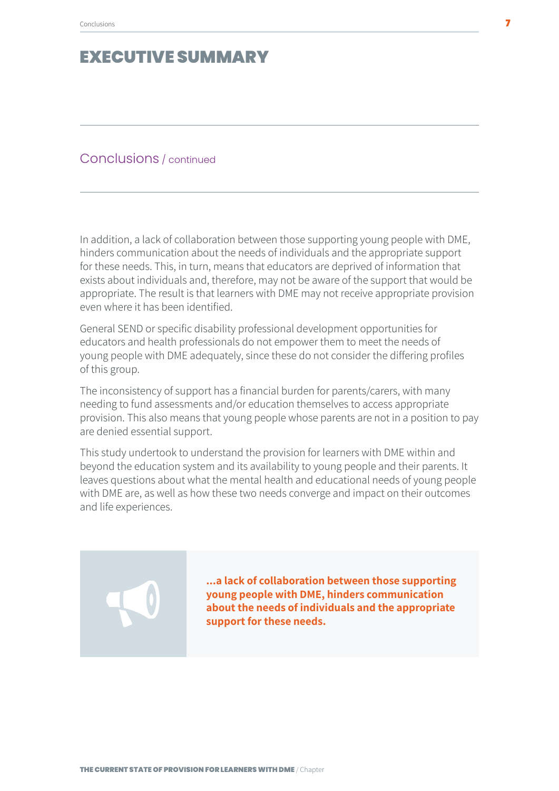#### Conclusions / continued

In addition, a lack of collaboration between those supporting young people with DME, hinders communication about the needs of individuals and the appropriate support for these needs. This, in turn, means that educators are deprived of information that exists about individuals and, therefore, may not be aware of the support that would be appropriate. The result is that learners with DME may not receive appropriate provision even where it has been identified.

General SEND or specific disability professional development opportunities for educators and health professionals do not empower them to meet the needs of young people with DME adequately, since these do not consider the differing profiles of this group.

The inconsistency of support has a financial burden for parents/carers, with many needing to fund assessments and/or education themselves to access appropriate provision. This also means that young people whose parents are not in a position to pay are denied essential support.

This study undertook to understand the provision for learners with DME within and beyond the education system and its availability to young people and their parents. It leaves questions about what the mental health and educational needs of young people with DME are, as well as how these two needs converge and impact on their outcomes and life experiences.

> **...a lack of collaboration between those supporting young people with DME, hinders communication about the needs of individuals and the appropriate support for these needs.**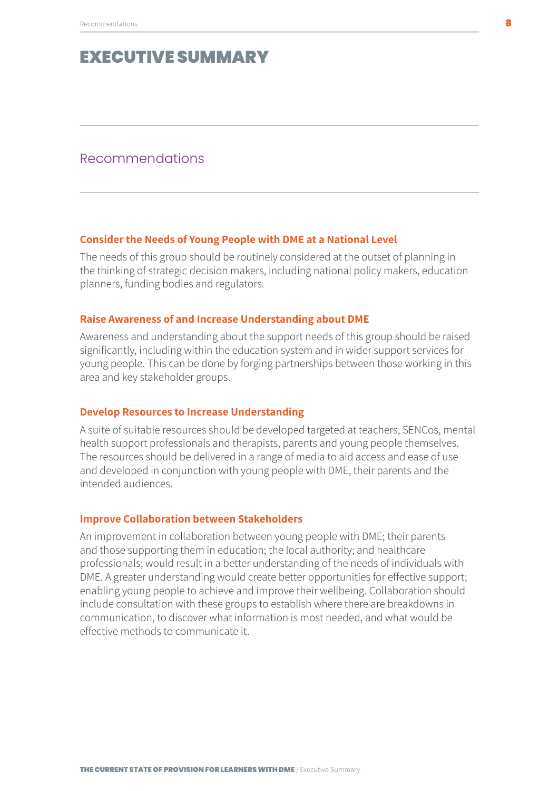#### Recommendations

#### **Consider the Needs of Young People with DME at a National Level**

The needs of this group should be routinely considered at the outset of planning in the thinking of strategic decision makers, including national policy makers, education planners, funding bodies and regulators.

#### **Raise Awareness of and Increase Understanding about DME**

Awareness and understanding about the support needs of this group should be raised significantly, including within the education system and in wider support services for young people. This can be done by forging partnerships between those working in this area and key stakeholder groups.

#### **Develop Resources to Increase Understanding**

A suite of suitable resources should be developed targeted at teachers, SENCos, mental health support professionals and therapists, parents and young people themselves. The resources should be delivered in a range of media to aid access and ease of use and developed in conjunction with young people with DME, their parents and the intended audiences.

#### **Improve Collaboration between Stakeholders**

An improvement in collaboration between young people with DME; their parents and those supporting them in education; the local authority; and healthcare professionals; would result in a better understanding of the needs of individuals with DME. A greater understanding would create better opportunities for effective support; enabling young people to achieve and improve their wellbeing. Collaboration should include consultation with these groups to establish where there are breakdowns in communication, to discover what information is most needed, and what would be effective methods to communicate it.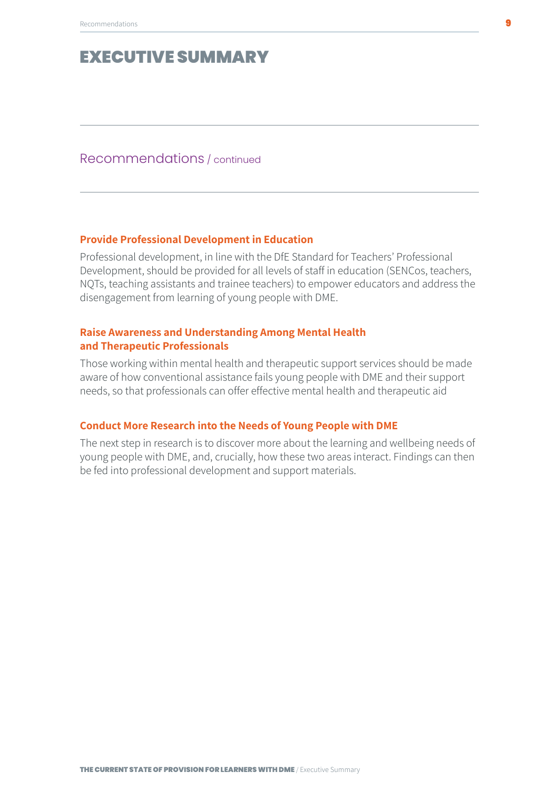Recommendations / continued

#### **Provide Professional Development in Education**

Professional development, in line with the DfE Standard for Teachers' Professional Development, should be provided for all levels of staff in education (SENCos, teachers, NQTs, teaching assistants and trainee teachers) to empower educators and address the disengagement from learning of young people with DME.

#### **Raise Awareness and Understanding Among Mental Health and Therapeutic Professionals**

Those working within mental health and therapeutic support services should be made aware of how conventional assistance fails young people with DME and their support needs, so that professionals can offer effective mental health and therapeutic aid

#### **Conduct More Research into the Needs of Young People with DME**

The next step in research is to discover more about the learning and wellbeing needs of young people with DME, and, crucially, how these two areas interact. Findings can then be fed into professional development and support materials.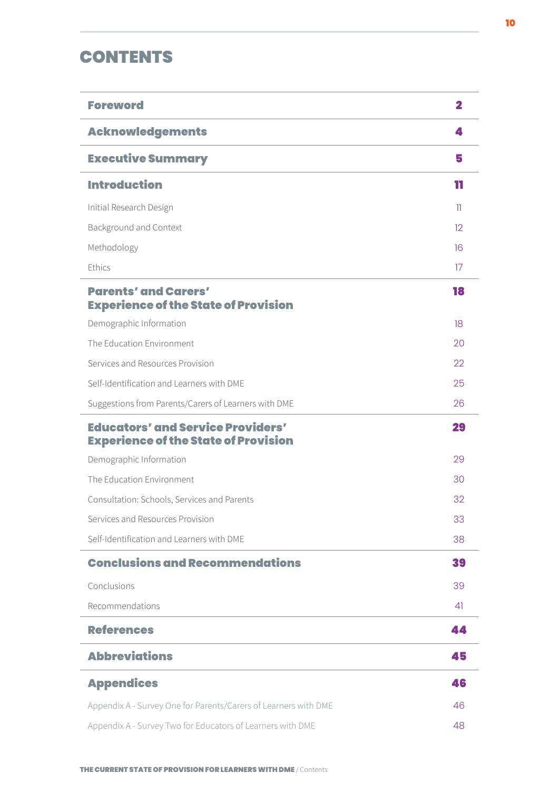### **CONTENTS**

| <b>Foreword</b>                                                                         | 2               |
|-----------------------------------------------------------------------------------------|-----------------|
| <b>Acknowledgements</b>                                                                 | Д.              |
| <b>Executive Summary</b>                                                                | 5               |
| <b>Introduction</b>                                                                     | 11              |
| Initial Research Design                                                                 | n               |
| <b>Background and Context</b>                                                           | 12 <sup>°</sup> |
| Methodology                                                                             | 16              |
| Ethics                                                                                  | 17              |
| <b>Parents' and Carers'</b><br><b>Experience of the State of Provision</b>              | 18              |
| Demographic Information                                                                 | 18              |
| The Education Environment                                                               | 20              |
| Services and Resources Provision                                                        | 22              |
| Self-Identification and Learners with DME                                               | 25              |
| Suggestions from Parents/Carers of Learners with DME                                    | 26              |
|                                                                                         |                 |
| <b>Educators' and Service Providers'</b><br><b>Experience of the State of Provision</b> | 29              |
| Demographic Information                                                                 | 29              |
| The Education Environment                                                               | 30              |
| Consultation: Schools, Services and Parents                                             | 32              |
| Services and Resources Provision                                                        | 33              |
| Self-Identification and Learners with DME                                               | 38              |
| <b>Conclusions and Recommendations</b>                                                  | 39              |
| Conclusions                                                                             | 39              |
| Recommendations                                                                         | 41              |
| <b>References</b>                                                                       | 44              |
| <b>Abbreviations</b>                                                                    | 45              |
| <b>Appendices</b>                                                                       | 46              |
| Appendix A - Survey One for Parents/Carers of Learners with DME                         | 46              |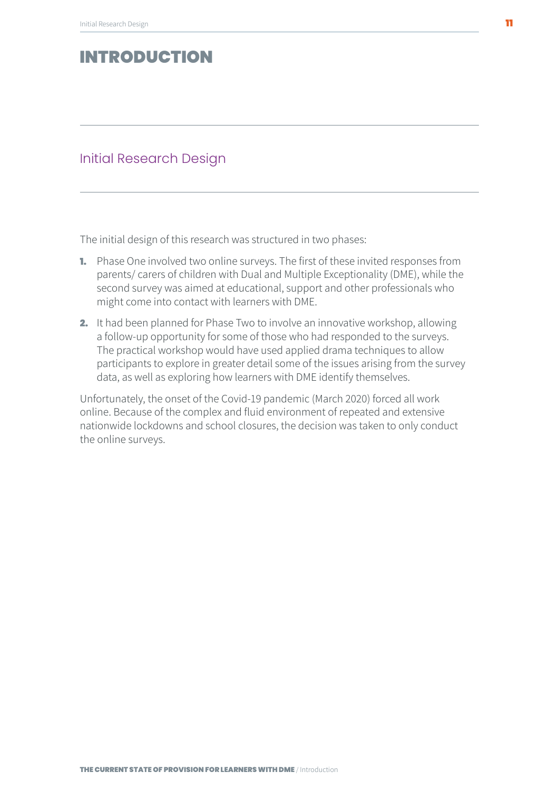#### <span id="page-10-0"></span>Initial Research Design

The initial design of this research was structured in two phases:

- 1. Phase One involved two online surveys. The first of these invited responses from parents/ carers of children with Dual and Multiple Exceptionality (DME), while the second survey was aimed at educational, support and other professionals who might come into contact with learners with DME.
- 2. It had been planned for Phase Two to involve an innovative workshop, allowing a follow-up opportunity for some of those who had responded to the surveys. The practical workshop would have used applied drama techniques to allow participants to explore in greater detail some of the issues arising from the survey data, as well as exploring how learners with DME identify themselves.

Unfortunately, the onset of the Covid-19 pandemic (March 2020) forced all work online. Because of the complex and fluid environment of repeated and extensive nationwide lockdowns and school closures, the decision was taken to only conduct the online surveys.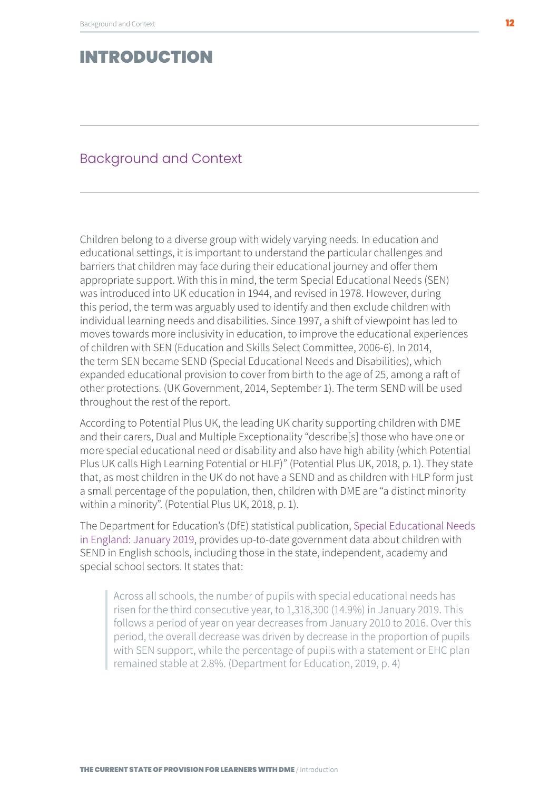### <span id="page-11-0"></span>Background and Context

Children belong to a diverse group with widely varying needs. In education and educational settings, it is important to understand the particular challenges and barriers that children may face during their educational journey and offer them appropriate support. With this in mind, the term Special Educational Needs (SEN) was introduced into UK education in 1944, and revised in 1978. However, during this period, the term was arguably used to identify and then exclude children with individual learning needs and disabilities. Since 1997, a shift of viewpoint has led to moves towards more inclusivity in education, to improve the educational experiences of children with SEN (Education and Skills Select Committee, 2006-6). In 2014, the term SEN became SEND (Special Educational Needs and Disabilities), which expanded educational provision to cover from birth to the age of 25, among a raft of other protections. (UK Government, 2014, September 1). The term SEND will be used throughout the rest of the report.

According to Potential Plus UK, the leading UK charity supporting children with DME and their carers, Dual and Multiple Exceptionality "describe[s] those who have one or more special educational need or disability and also have high ability (which Potential Plus UK calls High Learning Potential or HLP)" (Potential Plus UK, 2018, p. 1). They state that, as most children in the UK do not have a SEND and as children with HLP form just a small percentage of the population, then, children with DME are "a distinct minority within a minority". (Potential Plus UK, 2018, p. 1).

The Department for Education's (DfE) statistical publication, Special Educational Needs in England: January 2019, provides up-to-date government data about children with SEND in English schools, including those in the state, independent, academy and special school sectors. It states that:

 Across all schools, the number of pupils with special educational needs has risen for the third consecutive year, to 1,318,300 (14.9%) in January 2019. This follows a period of year on year decreases from January 2010 to 2016. Over this period, the overall decrease was driven by decrease in the proportion of pupils with SEN support, while the percentage of pupils with a statement or EHC plan remained stable at 2.8%. (Department for Education, 2019, p. 4)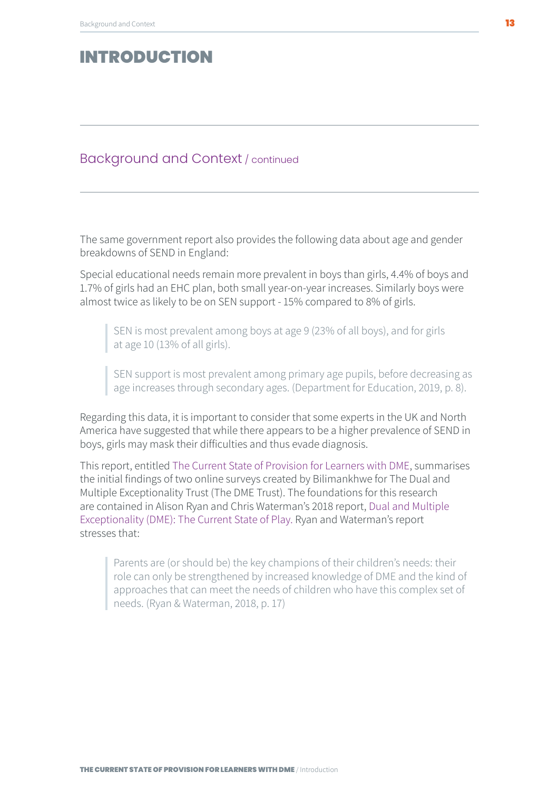#### Background and Context / continued

The same government report also provides the following data about age and gender breakdowns of SEND in England:

Special educational needs remain more prevalent in boys than girls, 4.4% of boys and 1.7% of girls had an EHC plan, both small year-on-year increases. Similarly boys were almost twice as likely to be on SEN support - 15% compared to 8% of girls.

SEN is most prevalent among boys at age 9 (23% of all boys), and for girls at age 10 (13% of all girls).

 SEN support is most prevalent among primary age pupils, before decreasing as age increases through secondary ages. (Department for Education, 2019, p. 8).

Regarding this data, it is important to consider that some experts in the UK and North America have suggested that while there appears to be a higher prevalence of SEND in boys, girls may mask their difficulties and thus evade diagnosis.

This report, entitled The Current State of Provision for Learners with DME, summarises the initial findings of two online surveys created by Bilimankhwe for The Dual and Multiple Exceptionality Trust (The DME Trust). The foundations for this research are contained in Alison Ryan and Chris Waterman's 2018 report, Dual and Multiple Exceptionality (DME): The Current State of Play. Ryan and Waterman's report stresses that:

 Parents are (or should be) the key champions of their children's needs: their role can only be strengthened by increased knowledge of DME and the kind of approaches that can meet the needs of children who have this complex set of needs. (Ryan & Waterman, 2018, p. 17)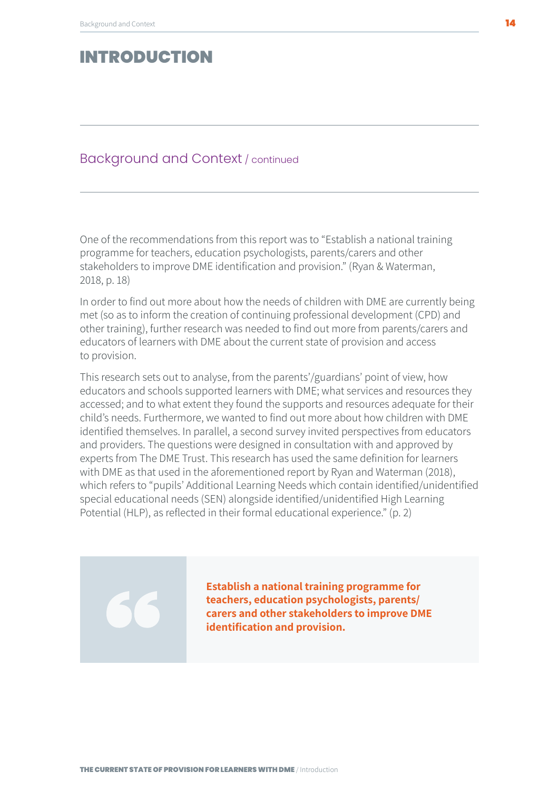#### Background and Context / continued

One of the recommendations from this report was to "Establish a national training programme for teachers, education psychologists, parents/carers and other stakeholders to improve DME identification and provision." (Ryan & Waterman, 2018, p. 18)

In order to find out more about how the needs of children with DME are currently being met (so as to inform the creation of continuing professional development (CPD) and other training), further research was needed to find out more from parents/carers and educators of learners with DME about the current state of provision and access to provision.

This research sets out to analyse, from the parents'/guardians' point of view, how educators and schools supported learners with DME; what services and resources they accessed; and to what extent they found the supports and resources adequate for their child's needs. Furthermore, we wanted to find out more about how children with DME identified themselves. In parallel, a second survey invited perspectives from educators and providers. The questions were designed in consultation with and approved by experts from The DME Trust. This research has used the same definition for learners with DME as that used in the aforementioned report by Ryan and Waterman (2018), which refers to "pupils' Additional Learning Needs which contain identified/unidentified special educational needs (SEN) alongside identified/unidentified High Learning Potential (HLP), as reflected in their formal educational experience." (p. 2)

> **Establish a national training programme for teachers, education psychologists, parents/ carers and other stakeholders to improve DME identification and provision.**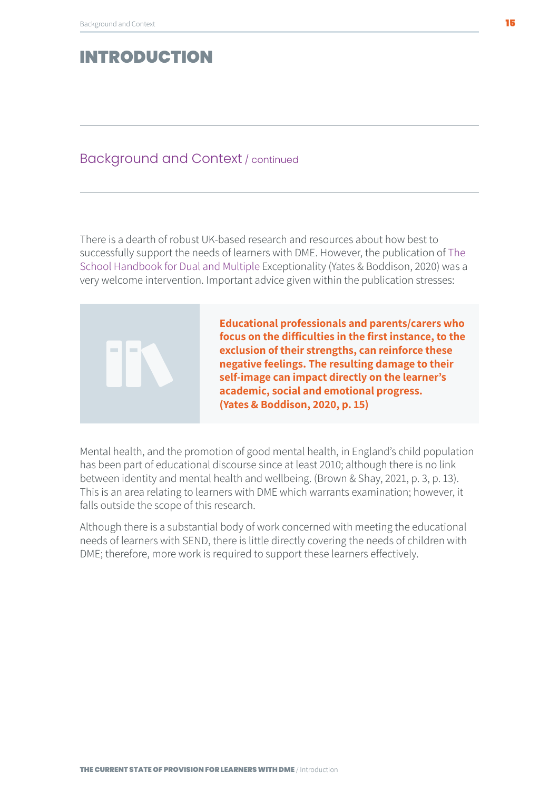#### Background and Context / continued

There is a dearth of robust UK-based research and resources about how best to successfully support the needs of learners with DME. However, the publication of The School Handbook for Dual and Multiple Exceptionality (Yates & Boddison, 2020) was a very welcome intervention. Important advice given within the publication stresses:

> **Educational professionals and parents/carers who focus on the difficulties in the first instance, to the exclusion of their strengths, can reinforce these negative feelings. The resulting damage to their self-image can impact directly on the learner's academic, social and emotional progress. (Yates & Boddison, 2020, p. 15)**

Mental health, and the promotion of good mental health, in England's child population has been part of educational discourse since at least 2010; although there is no link between identity and mental health and wellbeing. (Brown & Shay, 2021, p. 3, p. 13). This is an area relating to learners with DME which warrants examination; however, it falls outside the scope of this research.

Although there is a substantial body of work concerned with meeting the educational needs of learners with SEND, there is little directly covering the needs of children with DME; therefore, more work is required to support these learners effectively.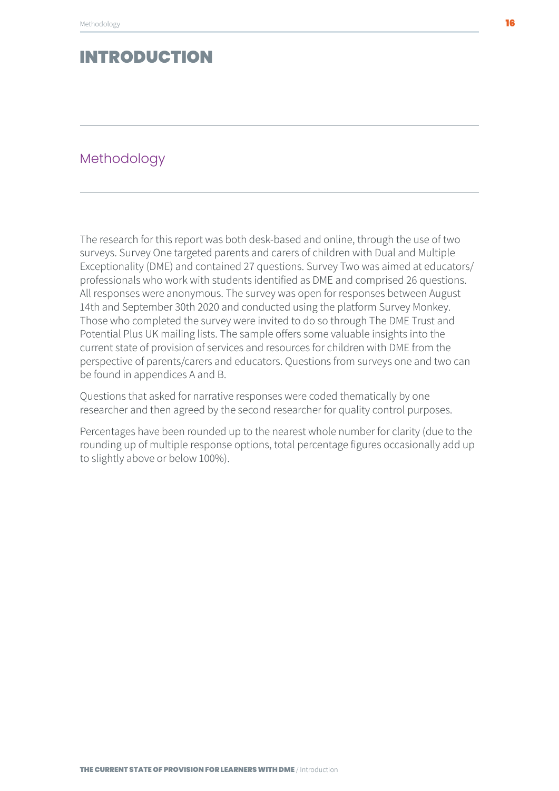#### <span id="page-15-0"></span>Methodology

The research for this report was both desk-based and online, through the use of two surveys. Survey One targeted parents and carers of children with Dual and Multiple Exceptionality (DME) and contained 27 questions. Survey Two was aimed at educators/ professionals who work with students identified as DME and comprised 26 questions. All responses were anonymous. The survey was open for responses between August 14th and September 30th 2020 and conducted using the platform Survey Monkey. Those who completed the survey were invited to do so through The DME Trust and Potential Plus UK mailing lists. The sample offers some valuable insights into the current state of provision of services and resources for children with DME from the perspective of parents/carers and educators. Questions from surveys one and two can be found in appendices A and B.

Questions that asked for narrative responses were coded thematically by one researcher and then agreed by the second researcher for quality control purposes.

Percentages have been rounded up to the nearest whole number for clarity (due to the rounding up of multiple response options, total percentage figures occasionally add up to slightly above or below 100%).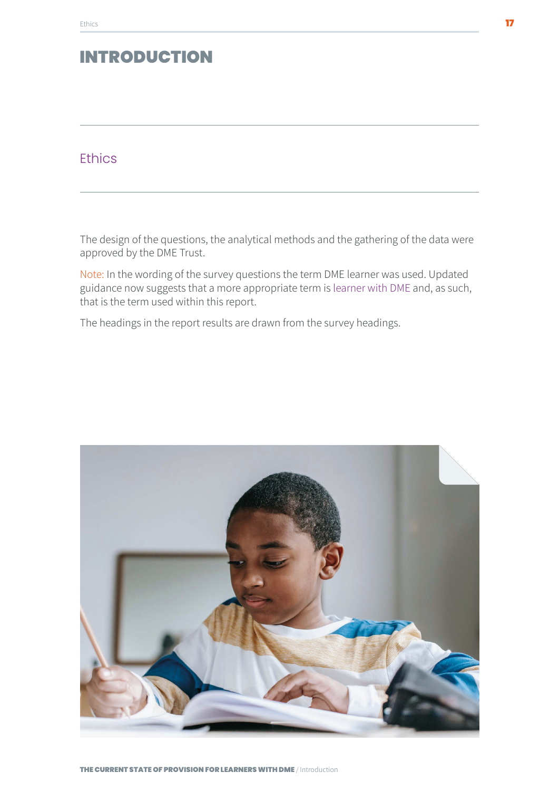### <span id="page-16-0"></span>**Ethics**

The design of the questions, the analytical methods and the gathering of the data were approved by the DME Trust.

Note: In the wording of the survey questions the term DME learner was used. Updated guidance now suggests that a more appropriate term is learner with DME and, as such, that is the term used within this report.

The headings in the report results are drawn from the survey headings.

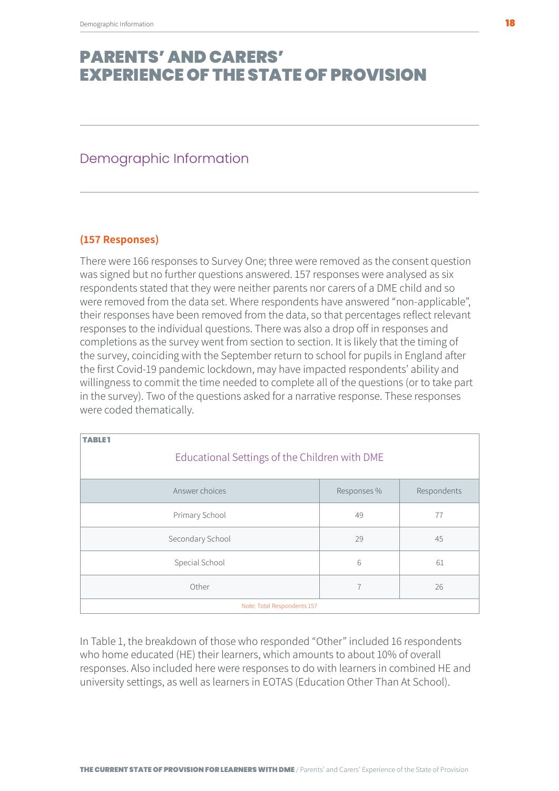#### <span id="page-17-0"></span>Demographic Information

#### **(157 Responses)**

There were 166 responses to Survey One; three were removed as the consent question was signed but no further questions answered. 157 responses were analysed as six respondents stated that they were neither parents nor carers of a DME child and so were removed from the data set. Where respondents have answered "non-applicable", their responses have been removed from the data, so that percentages reflect relevant responses to the individual questions. There was also a drop off in responses and completions as the survey went from section to section. It is likely that the timing of the survey, coinciding with the September return to school for pupils in England after the first Covid-19 pandemic lockdown, may have impacted respondents' ability and willingness to commit the time needed to complete all of the questions (or to take part in the survey). Two of the questions asked for a narrative response. These responses were coded thematically.

| <b>TABLE1</b><br>Educational Settings of the Children with DME |             |             |
|----------------------------------------------------------------|-------------|-------------|
| Answer choices                                                 | Responses % | Respondents |
| Primary School                                                 | 49          | 77          |
| Secondary School                                               | 29          | 45          |
| Special School                                                 | 6           | 61          |
| Other<br>$\overline{7}$<br>26                                  |             |             |
| Note: Total Respondents 157                                    |             |             |

In Table 1, the breakdown of those who responded "Other" included 16 respondents who home educated (HE) their learners, which amounts to about 10% of overall responses. Also included here were responses to do with learners in combined HE and university settings, as well as learners in EOTAS (Education Other Than At School).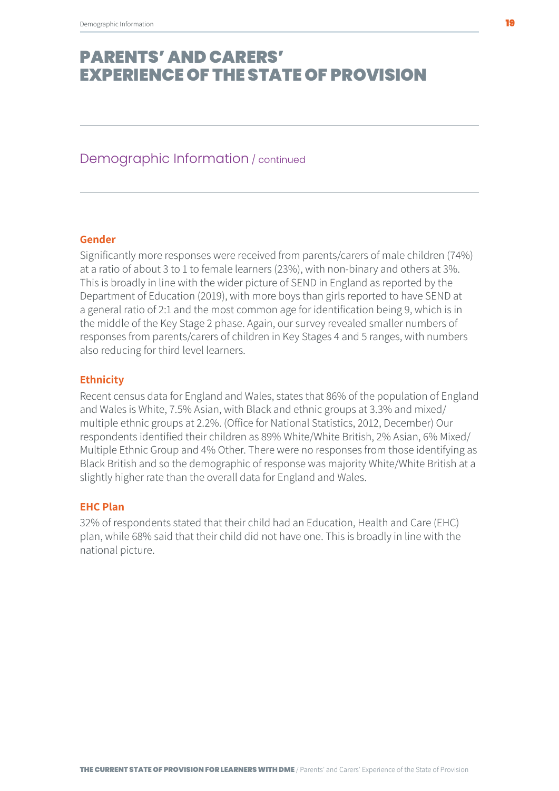#### Demographic Information / continued

#### **Gender**

Significantly more responses were received from parents/carers of male children (74%) at a ratio of about 3 to 1 to female learners (23%), with non-binary and others at 3%. This is broadly in line with the wider picture of SEND in England as reported by the Department of Education (2019), with more boys than girls reported to have SEND at a general ratio of 2:1 and the most common age for identification being 9, which is in the middle of the Key Stage 2 phase. Again, our survey revealed smaller numbers of responses from parents/carers of children in Key Stages 4 and 5 ranges, with numbers also reducing for third level learners.

#### **Ethnicity**

Recent census data for England and Wales, states that 86% of the population of England and Wales is White, 7.5% Asian, with Black and ethnic groups at 3.3% and mixed/ multiple ethnic groups at 2.2%. (Office for National Statistics, 2012, December) Our respondents identified their children as 89% White/White British, 2% Asian, 6% Mixed/ Multiple Ethnic Group and 4% Other. There were no responses from those identifying as Black British and so the demographic of response was majority White/White British at a slightly higher rate than the overall data for England and Wales.

#### **EHC Plan**

32% of respondents stated that their child had an Education, Health and Care (EHC) plan, while 68% said that their child did not have one. This is broadly in line with the national picture.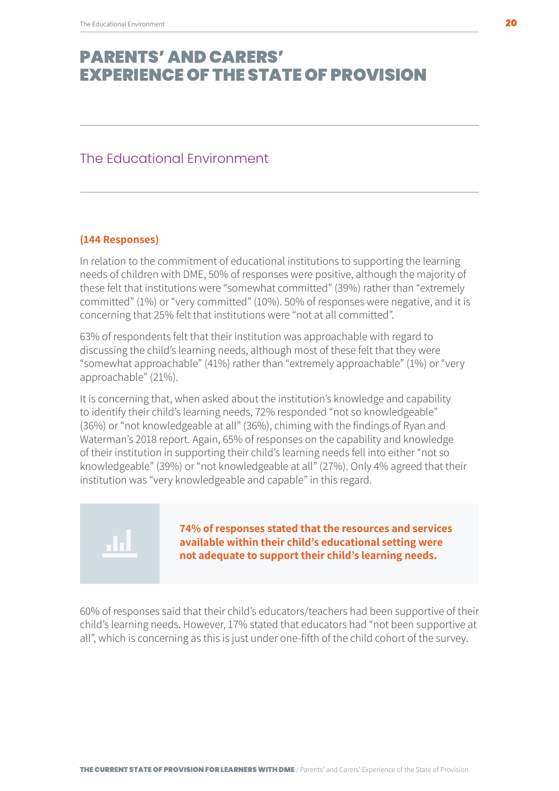#### <span id="page-19-0"></span>The Educational Environment

#### **(144 Responses)**

In relation to the commitment of educational institutions to supporting the learning needs of children with DME, 50% of responses were positive, although the majority of these felt that institutions were "somewhat committed" (39%) rather than "extremely committed" (1%) or "very committed" (10%). 50% of responses were negative, and it is concerning that 25% felt that institutions were "not at all committed".

63% of respondents felt that their institution was approachable with regard to discussing the child's learning needs, although most of these felt that they were "somewhat approachable" (41%) rather than "extremely approachable" (1%) or "very approachable" (21%).

It is concerning that, when asked about the institution's knowledge and capability to identify their child's learning needs, 72% responded "not so knowledgeable" (36%) or "not knowledgeable at all" (36%), chiming with the findings of Ryan and Waterman's 2018 report. Again, 65% of responses on the capability and knowledge of their institution in supporting their child's learning needs fell into either "not so knowledgeable" (39%) or "not knowledgeable at all" (27%). Only 4% agreed that their institution was "very knowledgeable and capable" in this regard.

**74% of responses stated that the resources and services available within their child's educational setting were not adequate to support their child's learning needs.**

60% of responses said that their child's educators/teachers had been supportive of their child's learning needs. However, 17% stated that educators had "not been supportive at all", which is concerning as this is just under one-fifth of the child cohort of the survey.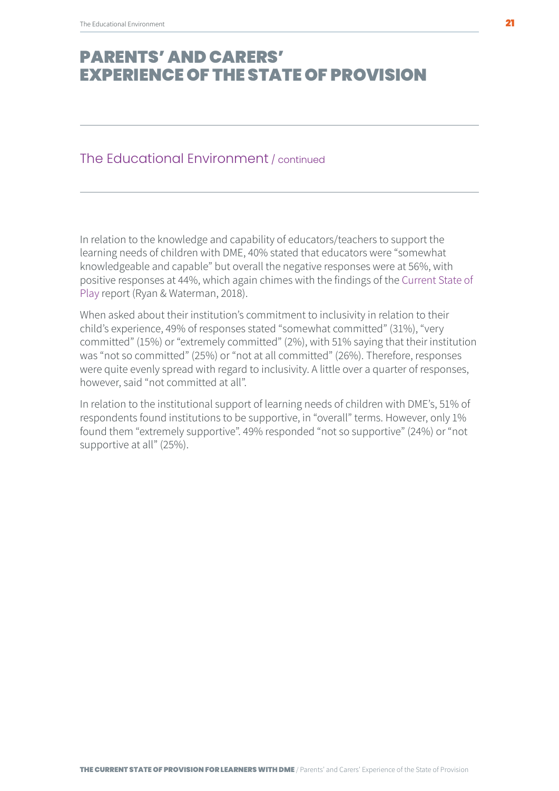#### The Educational Environment / continued

In relation to the knowledge and capability of educators/teachers to support the learning needs of children with DME, 40% stated that educators were "somewhat knowledgeable and capable" but overall the negative responses were at 56%, with positive responses at 44%, which again chimes with the findings of the Current State of Play report (Ryan & Waterman, 2018).

When asked about their institution's commitment to inclusivity in relation to their child's experience, 49% of responses stated "somewhat committed" (31%), "very committed" (15%) or "extremely committed" (2%), with 51% saying that their institution was "not so committed" (25%) or "not at all committed" (26%). Therefore, responses were quite evenly spread with regard to inclusivity. A little over a quarter of responses, however, said "not committed at all".

In relation to the institutional support of learning needs of children with DME's, 51% of respondents found institutions to be supportive, in "overall" terms. However, only 1% found them "extremely supportive". 49% responded "not so supportive" (24%) or "not supportive at all" (25%).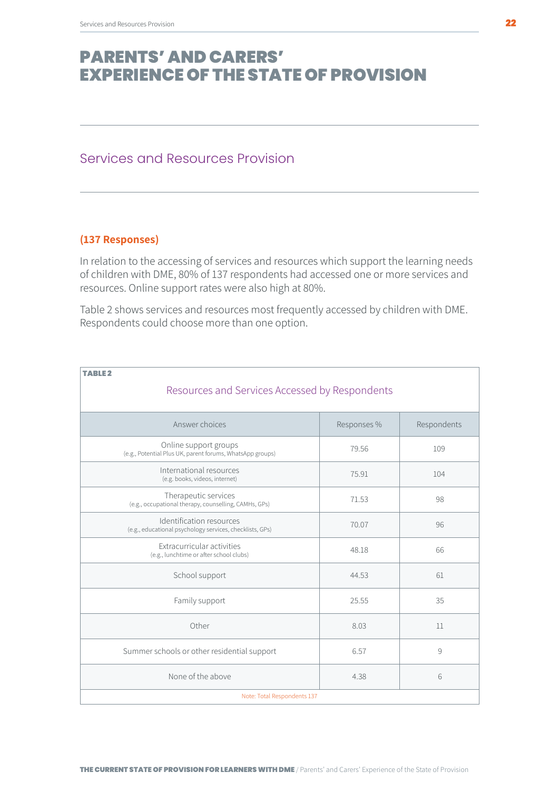### <span id="page-21-0"></span>Services and Resources Provision

#### **(137 Responses)**

In relation to the accessing of services and resources which support the learning needs of children with DME, 80% of 137 respondents had accessed one or more services and resources. Online support rates were also high at 80%.

Table 2 shows services and resources most frequently accessed by children with DME. Respondents could choose more than one option.

| <b>TABLE 2</b><br>Resources and Services Accessed by Respondents                     |             |             |
|--------------------------------------------------------------------------------------|-------------|-------------|
| Answer choices                                                                       | Responses % | Respondents |
| Online support groups<br>(e.g., Potential Plus UK, parent forums, WhatsApp groups)   | 79.56       | 109         |
| International resources<br>(e.g. books, videos, internet)                            | 75.91       | 104         |
| Therapeutic services<br>(e.g., occupational therapy, counselling, CAMHs, GPs)        | 71.53       | 98          |
| Identification resources<br>(e.g., educational psychology services, checklists, GPs) | 70.07       | 96          |
| Extracurricular activities<br>(e.g., lunchtime or after school clubs)                | 48.18       | 66          |
| School support                                                                       | 44.53       | 61          |
| Family support                                                                       | 25.55       | 35          |
| Other                                                                                | 8.03        | 11          |
| Summer schools or other residential support                                          | 6.57        | 9           |
| None of the above                                                                    | 4.38        | 6           |
| Note: Total Respondents 137                                                          |             |             |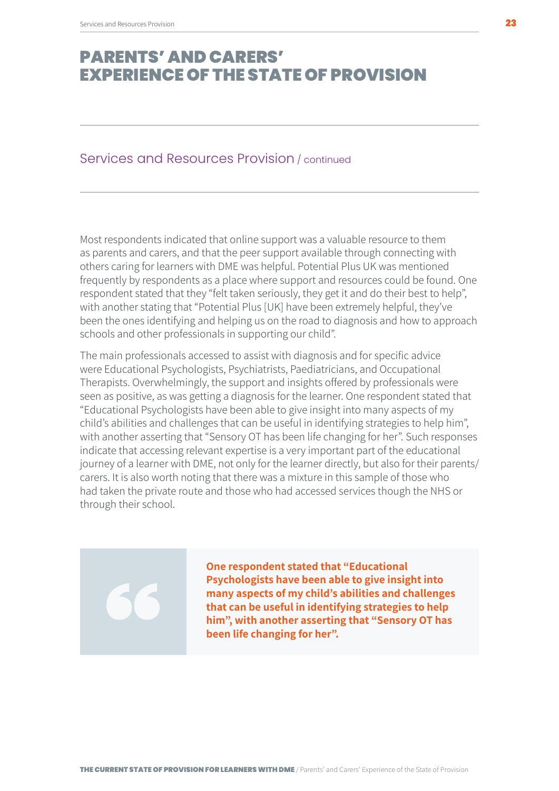#### Services and Resources Provision / continued

Most respondents indicated that online support was a valuable resource to them as parents and carers, and that the peer support available through connecting with others caring for learners with DME was helpful. Potential Plus UK was mentioned frequently by respondents as a place where support and resources could be found. One respondent stated that they "felt taken seriously, they get it and do their best to help", with another stating that "Potential Plus [UK] have been extremely helpful, they've been the ones identifying and helping us on the road to diagnosis and how to approach schools and other professionals in supporting our child".

The main professionals accessed to assist with diagnosis and for specific advice were Educational Psychologists, Psychiatrists, Paediatricians, and Occupational Therapists. Overwhelmingly, the support and insights offered by professionals were seen as positive, as was getting a diagnosis for the learner. One respondent stated that "Educational Psychologists have been able to give insight into many aspects of my child's abilities and challenges that can be useful in identifying strategies to help him", with another asserting that "Sensory OT has been life changing for her". Such responses indicate that accessing relevant expertise is a very important part of the educational journey of a learner with DME, not only for the learner directly, but also for their parents/ carers. It is also worth noting that there was a mixture in this sample of those who had taken the private route and those who had accessed services though the NHS or through their school.

**One respondent stated that "Educational Psychologists have been able to give insight into many aspects of my child's abilities and challenges that can be useful in identifying strategies to help him", with another asserting that "Sensory OT has been life changing for her".**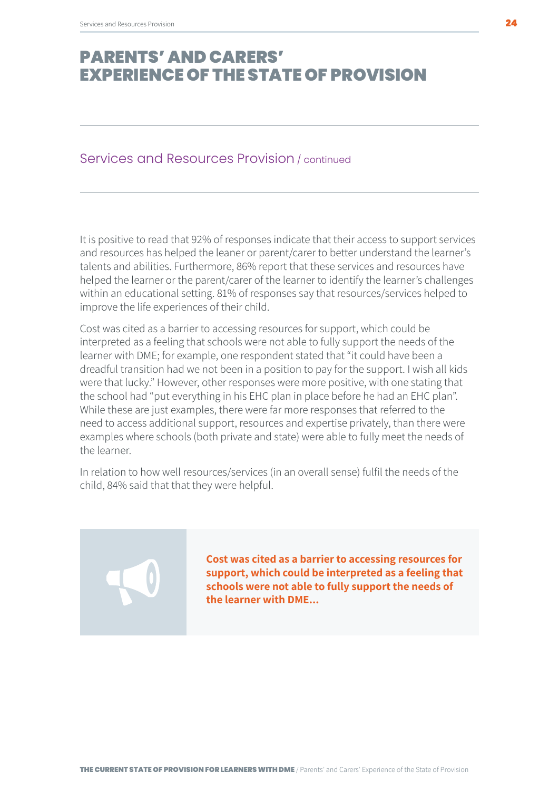#### Services and Resources Provision / continued

It is positive to read that 92% of responses indicate that their access to support services and resources has helped the leaner or parent/carer to better understand the learner's talents and abilities. Furthermore, 86% report that these services and resources have helped the learner or the parent/carer of the learner to identify the learner's challenges within an educational setting. 81% of responses say that resources/services helped to improve the life experiences of their child.

Cost was cited as a barrier to accessing resources for support, which could be interpreted as a feeling that schools were not able to fully support the needs of the learner with DME; for example, one respondent stated that "it could have been a dreadful transition had we not been in a position to pay for the support. I wish all kids were that lucky." However, other responses were more positive, with one stating that the school had "put everything in his EHC plan in place before he had an EHC plan". While these are just examples, there were far more responses that referred to the need to access additional support, resources and expertise privately, than there were examples where schools (both private and state) were able to fully meet the needs of the learner.

In relation to how well resources/services (in an overall sense) fulfil the needs of the child, 84% said that that they were helpful.

> **Cost was cited as a barrier to accessing resources for support, which could be interpreted as a feeling that schools were not able to fully support the needs of the learner with DME...**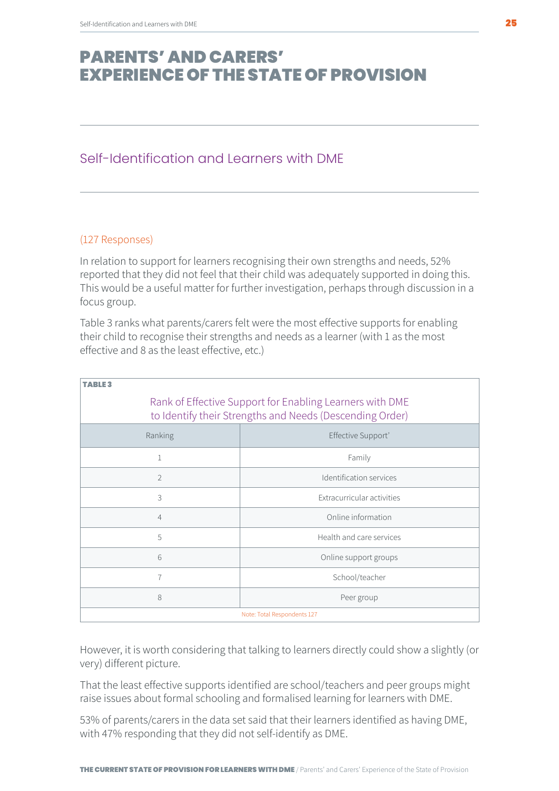### <span id="page-24-0"></span>Self-Identification and Learners with DME

#### (127 Responses)

In relation to support for learners recognising their own strengths and needs, 52% reported that they did not feel that their child was adequately supported in doing this. This would be a useful matter for further investigation, perhaps through discussion in a focus group.

Table 3 ranks what parents/carers felt were the most effective supports for enabling their child to recognise their strengths and needs as a learner (with 1 as the most effective and 8 as the least effective, etc.)

| Rank of Effective Support for Enabling Learners with DME<br>to Identify their Strengths and Needs (Descending Order) |                            |  |
|----------------------------------------------------------------------------------------------------------------------|----------------------------|--|
| Ranking                                                                                                              | Effective Support'         |  |
|                                                                                                                      | Family                     |  |
| $\overline{2}$                                                                                                       | Identification services    |  |
| 3                                                                                                                    | Extracurricular activities |  |
| $\overline{4}$                                                                                                       | Online information         |  |
| 5                                                                                                                    | Health and care services   |  |
| 6                                                                                                                    | Online support groups      |  |
| $\overline{7}$                                                                                                       | School/teacher             |  |
| 8                                                                                                                    | Peer group                 |  |
| Note: Total Respondents 127                                                                                          |                            |  |

However, it is worth considering that talking to learners directly could show a slightly (or very) different picture.

That the least effective supports identified are school/teachers and peer groups might raise issues about formal schooling and formalised learning for learners with DME.

53% of parents/carers in the data set said that their learners identified as having DME, with 47% responding that they did not self-identify as DME.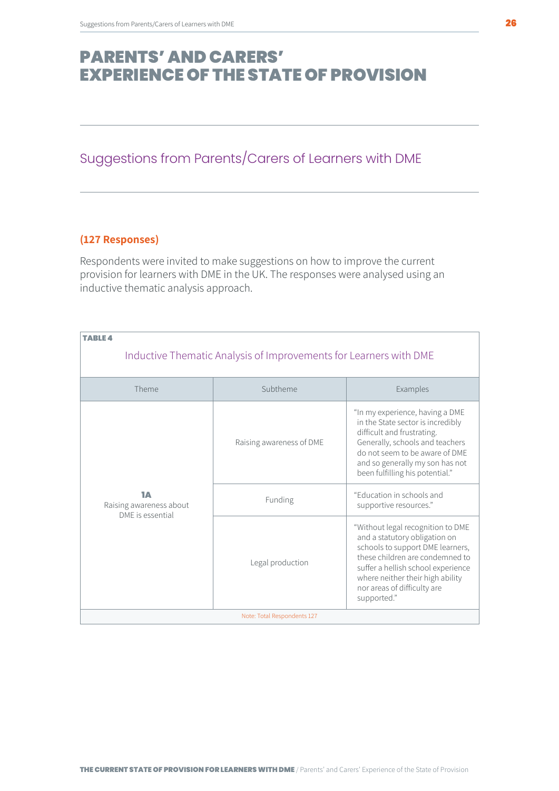### <span id="page-25-0"></span>Suggestions from Parents/Carers of Learners with DME

#### **(127 Responses)**

Respondents were invited to make suggestions on how to improve the current provision for learners with DME in the UK. The responses were analysed using an inductive thematic analysis approach.

| <b>TABLE 4</b><br>Inductive Thematic Analysis of Improvements for Learners with DME |                          |                                                                                                                                                                                                                                                                   |
|-------------------------------------------------------------------------------------|--------------------------|-------------------------------------------------------------------------------------------------------------------------------------------------------------------------------------------------------------------------------------------------------------------|
|                                                                                     |                          |                                                                                                                                                                                                                                                                   |
| Theme                                                                               | Subtheme                 | Examples                                                                                                                                                                                                                                                          |
| 1А<br>Raising awareness about                                                       | Raising awareness of DME | "In my experience, having a DME<br>in the State sector is incredibly<br>difficult and frustrating.<br>Generally, schools and teachers<br>do not seem to be aware of DME<br>and so generally my son has not<br>been fulfilling his potential."                     |
|                                                                                     | Funding                  | "Education in schools and<br>supportive resources."                                                                                                                                                                                                               |
| DME is essential                                                                    | Legal production         | "Without legal recognition to DME<br>and a statutory obligation on<br>schools to support DME learners,<br>these children are condemned to<br>suffer a hellish school experience<br>where neither their high ability<br>nor areas of difficulty are<br>supported." |
| Note: Total Respondents 127                                                         |                          |                                                                                                                                                                                                                                                                   |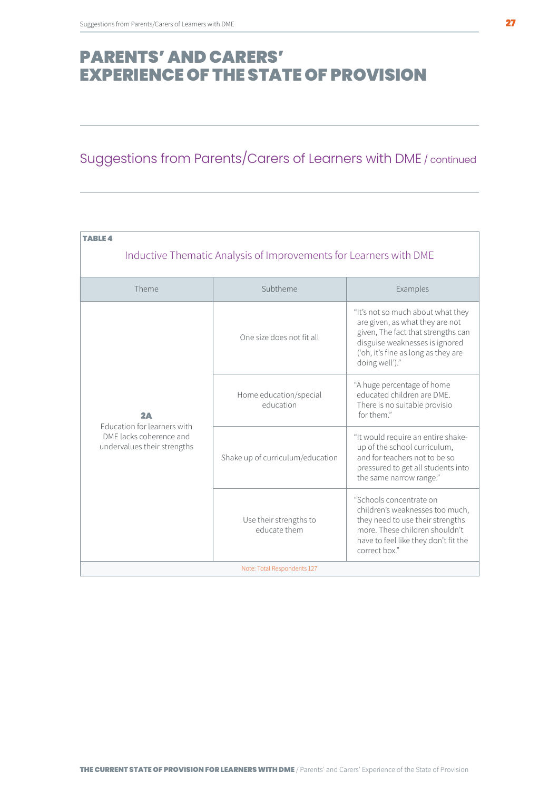### Suggestions from Parents/Carers of Learners with DME / continued

| TABLE 4<br>Inductive Thematic Analysis of Improvements for Learners with DME                |                                        |                                                                                                                                                                                                       |
|---------------------------------------------------------------------------------------------|----------------------------------------|-------------------------------------------------------------------------------------------------------------------------------------------------------------------------------------------------------|
| Theme                                                                                       | Subtheme                               | Examples                                                                                                                                                                                              |
| 2A<br>Education for learners with<br>DME lacks coherence and<br>undervalues their strengths | One size does not fit all              | "It's not so much about what they<br>are given, as what they are not<br>given, The fact that strengths can<br>disguise weaknesses is ignored<br>('oh, it's fine as long as they are<br>doing well')." |
|                                                                                             | Home education/special<br>education    | "A huge percentage of home<br>educated children are DME.<br>There is no suitable provisio<br>for them."                                                                                               |
|                                                                                             | Shake up of curriculum/education       | "It would require an entire shake-<br>up of the school curriculum,<br>and for teachers not to be so<br>pressured to get all students into<br>the same narrow range."                                  |
|                                                                                             | Use their strengths to<br>educate them | "Schools concentrate on<br>children's weaknesses too much,<br>they need to use their strengths<br>more. These children shouldn't<br>have to feel like they don't fit the<br>correct box."             |
| Note: Total Respondents 127                                                                 |                                        |                                                                                                                                                                                                       |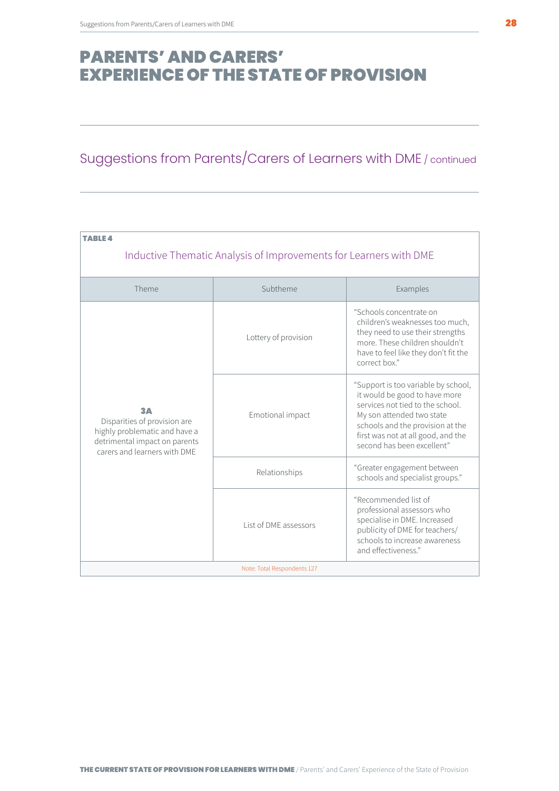### Suggestions from Parents/Carers of Learners with DME / continued

| <b>TABLE 4</b><br>Inductive Thematic Analysis of Improvements for Learners with DME                                                  |                       |                                                                                                                                                                                                                                               |
|--------------------------------------------------------------------------------------------------------------------------------------|-----------------------|-----------------------------------------------------------------------------------------------------------------------------------------------------------------------------------------------------------------------------------------------|
|                                                                                                                                      |                       |                                                                                                                                                                                                                                               |
| Theme                                                                                                                                | Subtheme              | Examples                                                                                                                                                                                                                                      |
|                                                                                                                                      | Lottery of provision  | "Schools concentrate on<br>children's weaknesses too much,<br>they need to use their strengths<br>more. These children shouldn't<br>have to feel like they don't fit the<br>correct box."                                                     |
| 3Д<br>Disparities of provision are<br>highly problematic and have a<br>detrimental impact on parents<br>carers and learners with DMF | Emotional impact      | "Support is too variable by school,<br>it would be good to have more<br>services not tied to the school.<br>My son attended two state<br>schools and the provision at the<br>first was not at all good, and the<br>second has been excellent" |
|                                                                                                                                      | Relationships         | "Greater engagement between<br>schools and specialist groups."                                                                                                                                                                                |
|                                                                                                                                      | List of DME assessors | "Recommended list of<br>professional assessors who<br>specialise in DME. Increased<br>publicity of DME for teachers/<br>schools to increase awareness<br>and effectiveness."                                                                  |
| Note: Total Respondents 127                                                                                                          |                       |                                                                                                                                                                                                                                               |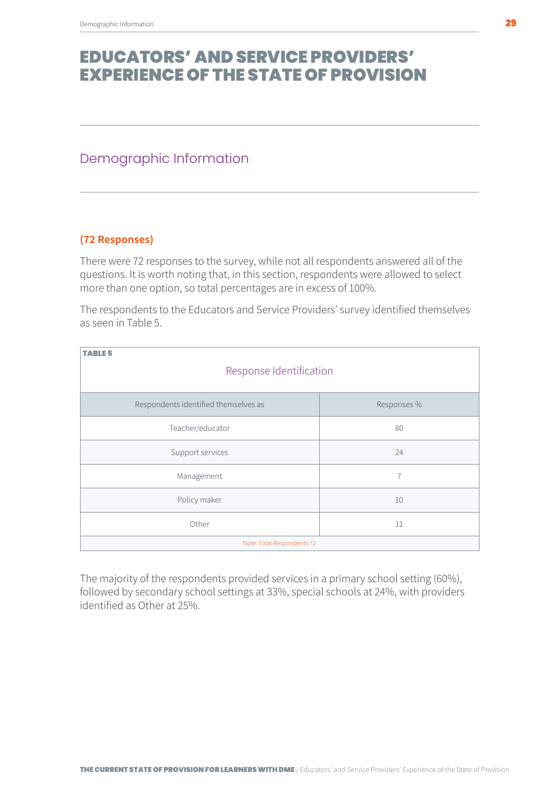### <span id="page-28-0"></span>Demographic Information

#### **(72 Responses)**

There were 72 responses to the survey, while not all respondents answered all of the questions. It is worth noting that, in this section, respondents were allowed to select more than one option, so total percentages are in excess of 100%.

The respondents to the Educators and Service Providers' survey identified themselves as seen in Table 5.

| <b>TABLE 5</b><br>Response Identification |                |  |
|-------------------------------------------|----------------|--|
| Respondents identified themselves as      | Responses %    |  |
| Teacher/educator                          | 80             |  |
| Support services                          | 24             |  |
| Management                                | $\overline{7}$ |  |
| Policy maker                              | 10             |  |
| Other                                     | 11             |  |
| Note: Total Respondents 72                |                |  |

The majority of the respondents provided services in a primary school setting (60%), followed by secondary school settings at 33%, special schools at 24%, with providers identified as Other at 25%.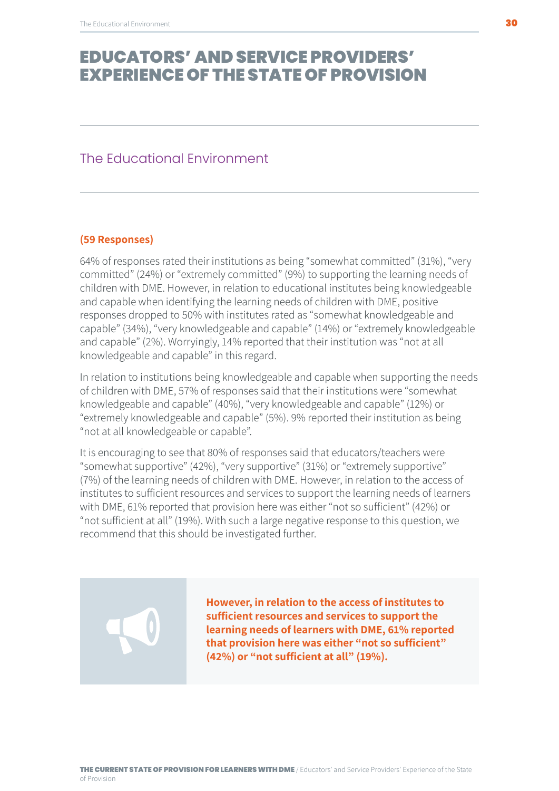#### <span id="page-29-0"></span>The Educational Environment

#### **(59 Responses)**

64% of responses rated their institutions as being "somewhat committed" (31%), "very committed" (24%) or "extremely committed" (9%) to supporting the learning needs of children with DME. However, in relation to educational institutes being knowledgeable and capable when identifying the learning needs of children with DME, positive responses dropped to 50% with institutes rated as "somewhat knowledgeable and capable" (34%), "very knowledgeable and capable" (14%) or "extremely knowledgeable and capable" (2%). Worryingly, 14% reported that their institution was "not at all knowledgeable and capable" in this regard.

In relation to institutions being knowledgeable and capable when supporting the needs of children with DME, 57% of responses said that their institutions were "somewhat knowledgeable and capable" (40%), "very knowledgeable and capable" (12%) or "extremely knowledgeable and capable" (5%). 9% reported their institution as being "not at all knowledgeable or capable".

It is encouraging to see that 80% of responses said that educators/teachers were "somewhat supportive" (42%), "very supportive" (31%) or "extremely supportive" (7%) of the learning needs of children with DME. However, in relation to the access of institutes to sufficient resources and services to support the learning needs of learners with DME, 61% reported that provision here was either "not so sufficient" (42%) or "not sufficient at all" (19%). With such a large negative response to this question, we recommend that this should be investigated further.

> **However, in relation to the access of institutes to sufficient resources and services to support the learning needs of learners with DME, 61% reported that provision here was either "not so sufficient" (42%) or "not sufficient at all" (19%).**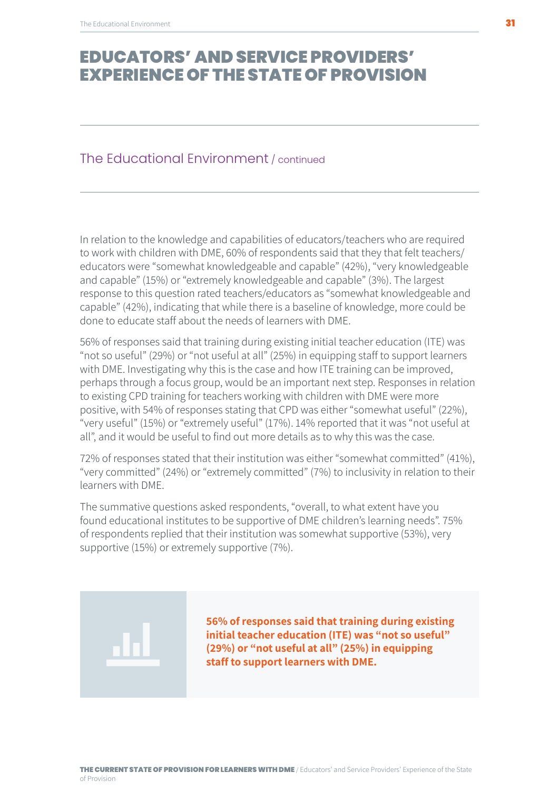#### The Educational Environment / continued

In relation to the knowledge and capabilities of educators/teachers who are required to work with children with DME, 60% of respondents said that they that felt teachers/ educators were "somewhat knowledgeable and capable" (42%), "very knowledgeable and capable" (15%) or "extremely knowledgeable and capable" (3%). The largest response to this question rated teachers/educators as "somewhat knowledgeable and capable" (42%), indicating that while there is a baseline of knowledge, more could be done to educate staff about the needs of learners with DME.

56% of responses said that training during existing initial teacher education (ITE) was "not so useful" (29%) or "not useful at all" (25%) in equipping staff to support learners with DME. Investigating why this is the case and how ITE training can be improved, perhaps through a focus group, would be an important next step. Responses in relation to existing CPD training for teachers working with children with DME were more positive, with 54% of responses stating that CPD was either "somewhat useful" (22%), "very useful" (15%) or "extremely useful" (17%). 14% reported that it was "not useful at all", and it would be useful to find out more details as to why this was the case.

72% of responses stated that their institution was either "somewhat committed" (41%), "very committed" (24%) or "extremely committed" (7%) to inclusivity in relation to their learners with DME.

The summative questions asked respondents, "overall, to what extent have you found educational institutes to be supportive of DME children's learning needs". 75% of respondents replied that their institution was somewhat supportive (53%), very supportive (15%) or extremely supportive (7%).

> **56% of responses said that training during existing initial teacher education (ITE) was "not so useful" (29%) or "not useful at all" (25%) in equipping staff to support learners with DME.**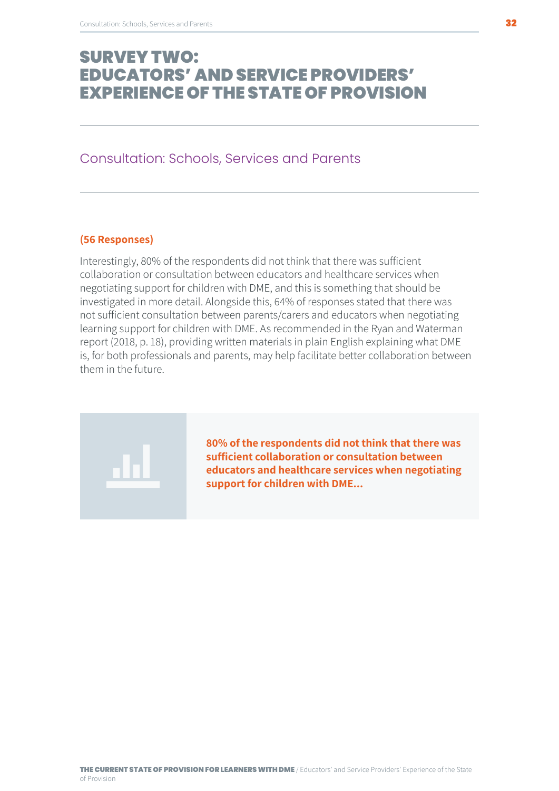#### <span id="page-31-0"></span>Consultation: Schools, Services and Parents

#### **(56 Responses)**

Interestingly, 80% of the respondents did not think that there was sufficient collaboration or consultation between educators and healthcare services when negotiating support for children with DME, and this is something that should be investigated in more detail. Alongside this, 64% of responses stated that there was not sufficient consultation between parents/carers and educators when negotiating learning support for children with DME. As recommended in the Ryan and Waterman report (2018, p. 18), providing written materials in plain English explaining what DME is, for both professionals and parents, may help facilitate better collaboration between them in the future.



**80% of the respondents did not think that there was sufficient collaboration or consultation between educators and healthcare services when negotiating support for children with DME...**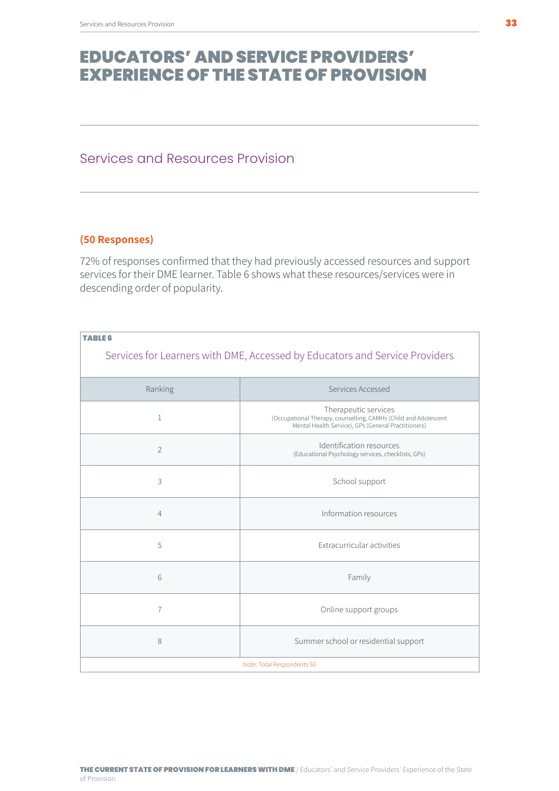#### <span id="page-32-0"></span>Services and Resources Provision

#### **(50 Responses)**

72% of responses confirmed that they had previously accessed resources and support services for their DME learner. Table 6 shows what these resources/services were in descending order of popularity.

| <b>TABLE 6</b>                                                              |                                                                                                                                                |  |
|-----------------------------------------------------------------------------|------------------------------------------------------------------------------------------------------------------------------------------------|--|
| Services for Learners with DME, Accessed by Educators and Service Providers |                                                                                                                                                |  |
| Ranking                                                                     | Services Accessed                                                                                                                              |  |
| $\mathbf{1}$                                                                | Therapeutic services<br>(Occupational Therapy, counselling, CAMHs (Child and Adolescent<br>Mental Health Service), GPs (General Practitioners) |  |
| $\overline{2}$                                                              | Identification resources<br>(Educational Psychology services, checklists, GPs)                                                                 |  |
| 3                                                                           | School support                                                                                                                                 |  |
| $\overline{4}$                                                              | Information resources                                                                                                                          |  |
| 5                                                                           | Extracurricular activities                                                                                                                     |  |
| 6                                                                           | Family                                                                                                                                         |  |
| $\overline{7}$                                                              | Online support groups                                                                                                                          |  |
| 8                                                                           | Summer school or residential support                                                                                                           |  |
| Note: Total Respondents 50                                                  |                                                                                                                                                |  |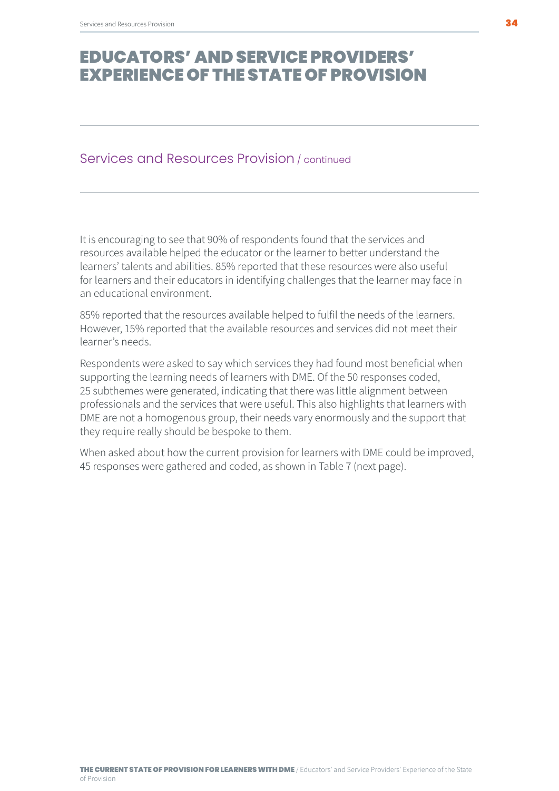#### Services and Resources Provision / continued

It is encouraging to see that 90% of respondents found that the services and resources available helped the educator or the learner to better understand the learners' talents and abilities. 85% reported that these resources were also useful for learners and their educators in identifying challenges that the learner may face in an educational environment.

85% reported that the resources available helped to fulfil the needs of the learners. However, 15% reported that the available resources and services did not meet their learner's needs.

Respondents were asked to say which services they had found most beneficial when supporting the learning needs of learners with DME. Of the 50 responses coded, 25 subthemes were generated, indicating that there was little alignment between professionals and the services that were useful. This also highlights that learners with DME are not a homogenous group, their needs vary enormously and the support that they require really should be bespoke to them.

When asked about how the current provision for learners with DME could be improved, 45 responses were gathered and coded, as shown in Table 7 (next page).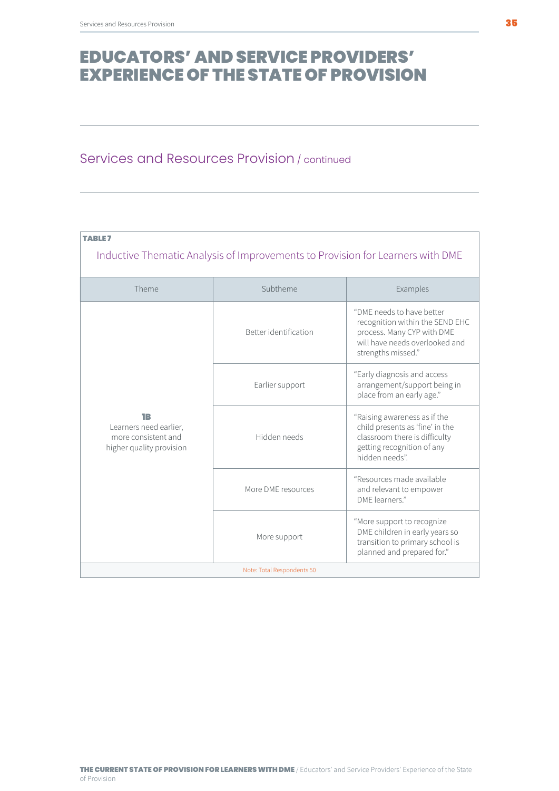### Services and Resources Provision / continued

| <b>TABLE7</b><br>Inductive Thematic Analysis of Improvements to Provision for Learners with DME |                       |                                                                                                                                                    |
|-------------------------------------------------------------------------------------------------|-----------------------|----------------------------------------------------------------------------------------------------------------------------------------------------|
| Theme                                                                                           | Subtheme              | Examples                                                                                                                                           |
|                                                                                                 | Better identification | "DME needs to have better<br>recognition within the SEND EHC<br>process. Many CYP with DME<br>will have needs overlooked and<br>strengths missed." |
|                                                                                                 | Earlier support       | "Early diagnosis and access<br>arrangement/support being in<br>place from an early age."                                                           |
| 1B<br>Learners need earlier,<br>more consistent and<br>higher quality provision                 | Hidden needs          | "Raising awareness as if the<br>child presents as 'fine' in the<br>classroom there is difficulty<br>getting recognition of any<br>hidden needs".   |
|                                                                                                 | More DME resources    | "Resources made available<br>and relevant to empower<br>DMF learners"                                                                              |
|                                                                                                 | More support          | "More support to recognize<br>DME children in early years so<br>transition to primary school is<br>planned and prepared for."                      |
| Note: Total Respondents 50                                                                      |                       |                                                                                                                                                    |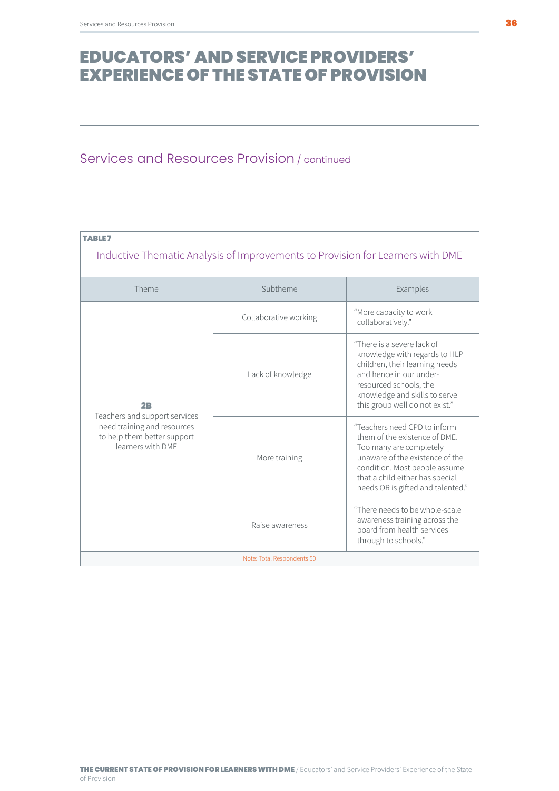### Services and Resources Provision / continued

| TABLE 7<br>Inductive Thematic Analysis of Improvements to Provision for Learners with DME                                          |                       |                                                                                                                                                                                                                                      |
|------------------------------------------------------------------------------------------------------------------------------------|-----------------------|--------------------------------------------------------------------------------------------------------------------------------------------------------------------------------------------------------------------------------------|
| Theme                                                                                                                              | Subtheme              | Examples                                                                                                                                                                                                                             |
| 2 <sub>B</sub><br>Teachers and support services<br>need training and resources<br>to help them better support<br>learners with DMF | Collaborative working | "More capacity to work<br>collaboratively."                                                                                                                                                                                          |
|                                                                                                                                    | Lack of knowledge     | "There is a severe lack of<br>knowledge with regards to HLP<br>children, their learning needs<br>and hence in our under-<br>resourced schools, the<br>knowledge and skills to serve<br>this group well do not exist."                |
|                                                                                                                                    | More training         | "Teachers need CPD to inform<br>them of the existence of DME.<br>Too many are completely<br>unaware of the existence of the<br>condition. Most people assume<br>that a child either has special<br>needs OR is gifted and talented." |
|                                                                                                                                    | Raise awareness       | "There needs to be whole-scale<br>awareness training across the<br>board from health services<br>through to schools."                                                                                                                |
| Note: Total Respondents 50                                                                                                         |                       |                                                                                                                                                                                                                                      |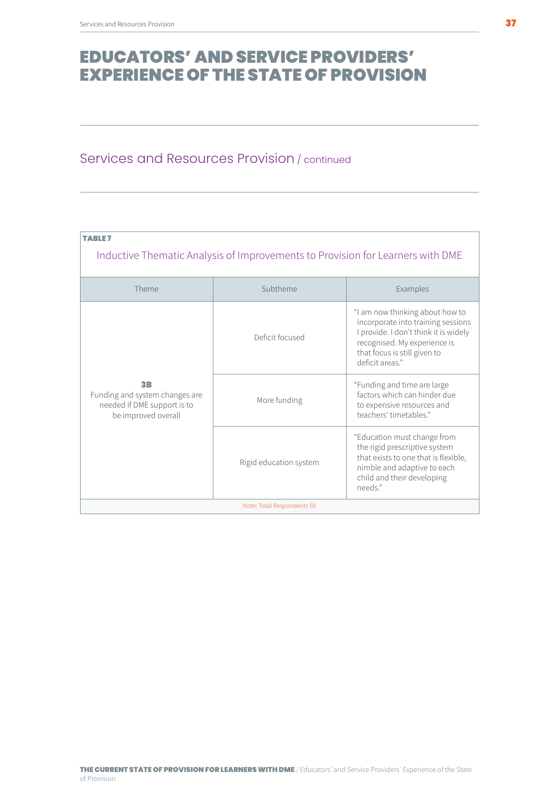### Services and Resources Provision / continued

| <b>TABLE7</b>                                                                                          |                        |                                                                                                                                                                                                   |  |
|--------------------------------------------------------------------------------------------------------|------------------------|---------------------------------------------------------------------------------------------------------------------------------------------------------------------------------------------------|--|
| Inductive Thematic Analysis of Improvements to Provision for Learners with DME                         |                        |                                                                                                                                                                                                   |  |
| Theme                                                                                                  | Subtheme               | Examples                                                                                                                                                                                          |  |
|                                                                                                        | Deficit focused        | "I am now thinking about how to<br>incorporate into training sessions<br>I provide. I don't think it is widely<br>recognised. My experience is<br>that focus is still given to<br>deficit areas." |  |
| 3 <sub>B</sub><br>Funding and system changes are<br>needed if DME support is to<br>be improved overall | More funding           | "Funding and time are large<br>factors which can hinder due<br>to expensive resources and<br>teachers' timetables"                                                                                |  |
|                                                                                                        | Rigid education system | "Education must change from<br>the rigid prescriptive system<br>that exists to one that is flexible,<br>nimble and adaptive to each<br>child and their developing<br>needs."                      |  |
| Note: Total Respondents 50                                                                             |                        |                                                                                                                                                                                                   |  |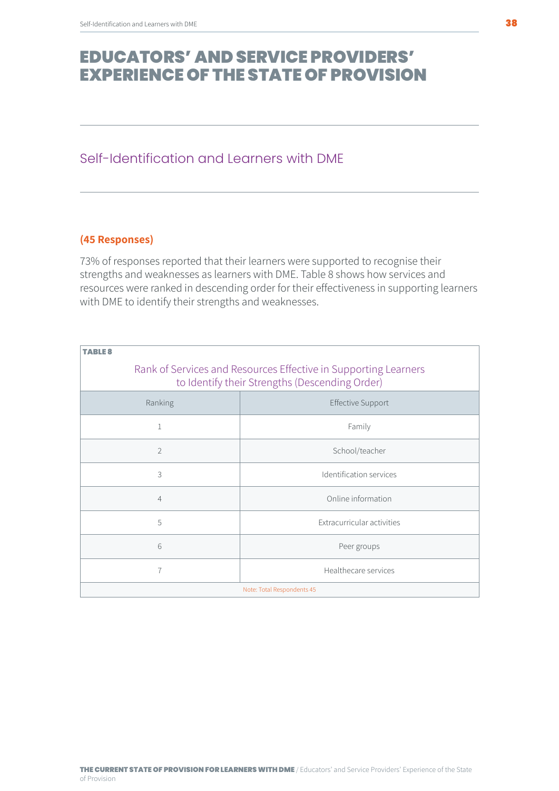### <span id="page-37-0"></span>Self-Identification and Learners with DME

#### **(45 Responses)**

73% of responses reported that their learners were supported to recognise their strengths and weaknesses as learners with DME. Table 8 shows how services and resources were ranked in descending order for their effectiveness in supporting learners with DME to identify their strengths and weaknesses.

| TARI F <i>S</i> |                                                                                                                   |  |  |
|-----------------|-------------------------------------------------------------------------------------------------------------------|--|--|
|                 | Rank of Services and Resources Effective in Supporting Learners<br>to Identify their Strengths (Descending Order) |  |  |
| Ranking         | <b>Effective Support</b>                                                                                          |  |  |
| 1               | Family                                                                                                            |  |  |
| $\overline{2}$  | School/teacher                                                                                                    |  |  |
| 3               | Identification services                                                                                           |  |  |
| $\overline{4}$  | Online information                                                                                                |  |  |
| 5               | Extracurricular activities                                                                                        |  |  |
| 6               | Peer groups                                                                                                       |  |  |
| $\overline{7}$  | Healthecare services                                                                                              |  |  |
|                 | Note: Total Respondents 45                                                                                        |  |  |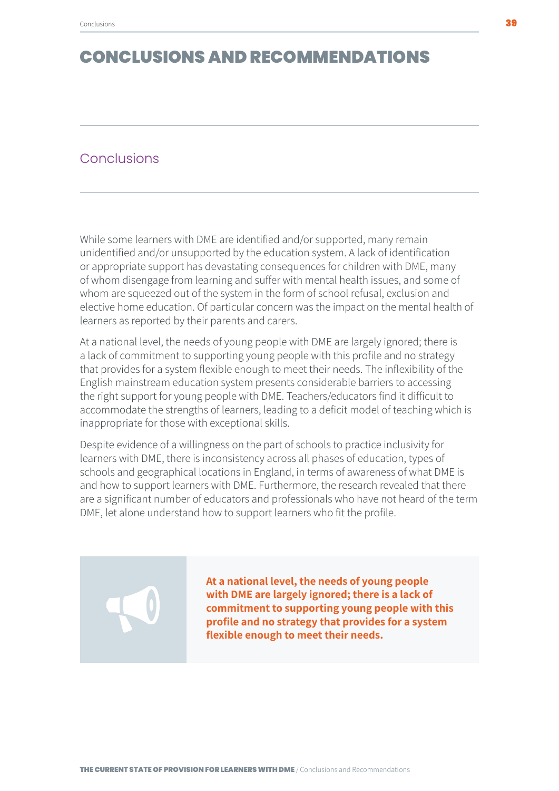#### <span id="page-38-0"></span>**Conclusions**

While some learners with DME are identified and/or supported, many remain unidentified and/or unsupported by the education system. A lack of identification or appropriate support has devastating consequences for children with DME, many of whom disengage from learning and suffer with mental health issues, and some of whom are squeezed out of the system in the form of school refusal, exclusion and elective home education. Of particular concern was the impact on the mental health of learners as reported by their parents and carers.

At a national level, the needs of young people with DME are largely ignored; there is a lack of commitment to supporting young people with this profile and no strategy that provides for a system flexible enough to meet their needs. The inflexibility of the English mainstream education system presents considerable barriers to accessing the right support for young people with DME. Teachers/educators find it difficult to accommodate the strengths of learners, leading to a deficit model of teaching which is inappropriate for those with exceptional skills.

Despite evidence of a willingness on the part of schools to practice inclusivity for learners with DME, there is inconsistency across all phases of education, types of schools and geographical locations in England, in terms of awareness of what DME is and how to support learners with DME. Furthermore, the research revealed that there are a significant number of educators and professionals who have not heard of the term DME, let alone understand how to support learners who fit the profile.

> **At a national level, the needs of young people with DME are largely ignored; there is a lack of commitment to supporting young people with this profile and no strategy that provides for a system flexible enough to meet their needs.**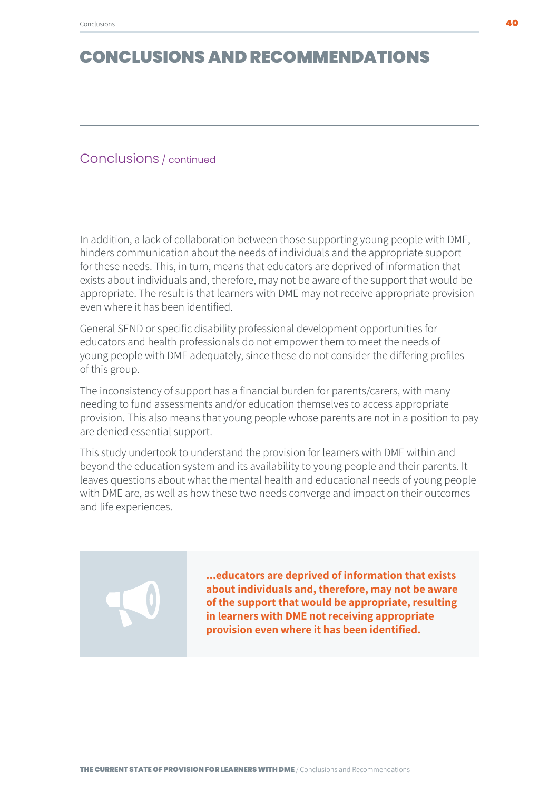#### Conclusions / continued

In addition, a lack of collaboration between those supporting young people with DME, hinders communication about the needs of individuals and the appropriate support for these needs. This, in turn, means that educators are deprived of information that exists about individuals and, therefore, may not be aware of the support that would be appropriate. The result is that learners with DME may not receive appropriate provision even where it has been identified.

General SEND or specific disability professional development opportunities for educators and health professionals do not empower them to meet the needs of young people with DME adequately, since these do not consider the differing profiles of this group.

The inconsistency of support has a financial burden for parents/carers, with many needing to fund assessments and/or education themselves to access appropriate provision. This also means that young people whose parents are not in a position to pay are denied essential support.

This study undertook to understand the provision for learners with DME within and beyond the education system and its availability to young people and their parents. It leaves questions about what the mental health and educational needs of young people with DME are, as well as how these two needs converge and impact on their outcomes and life experiences.

> **...educators are deprived of information that exists about individuals and, therefore, may not be aware of the support that would be appropriate, resulting in learners with DME not receiving appropriate provision even where it has been identified.**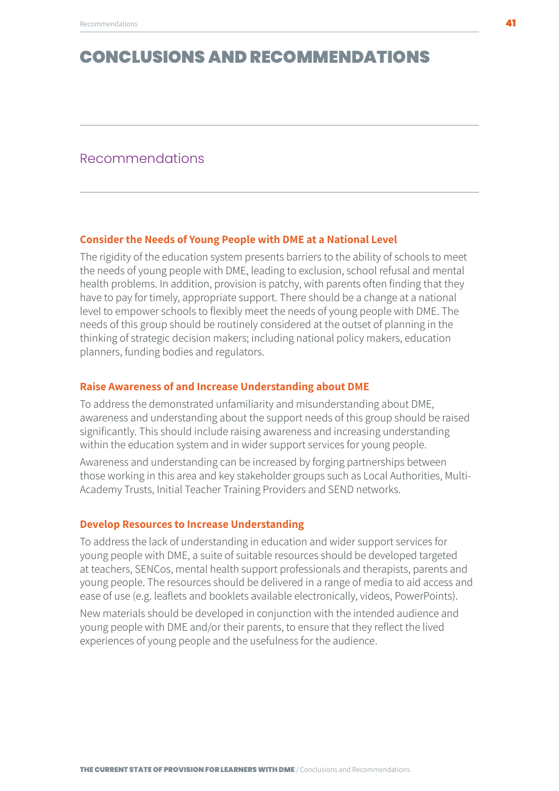#### <span id="page-40-0"></span>Recommendations

#### **Consider the Needs of Young People with DME at a National Level**

The rigidity of the education system presents barriers to the ability of schools to meet the needs of young people with DME, leading to exclusion, school refusal and mental health problems. In addition, provision is patchy, with parents often finding that they have to pay for timely, appropriate support. There should be a change at a national level to empower schools to flexibly meet the needs of young people with DME. The needs of this group should be routinely considered at the outset of planning in the thinking of strategic decision makers; including national policy makers, education planners, funding bodies and regulators.

#### **Raise Awareness of and Increase Understanding about DME**

To address the demonstrated unfamiliarity and misunderstanding about DME, awareness and understanding about the support needs of this group should be raised significantly. This should include raising awareness and increasing understanding within the education system and in wider support services for young people.

Awareness and understanding can be increased by forging partnerships between those working in this area and key stakeholder groups such as Local Authorities, Multi-Academy Trusts, Initial Teacher Training Providers and SEND networks.

#### **Develop Resources to Increase Understanding**

To address the lack of understanding in education and wider support services for young people with DME, a suite of suitable resources should be developed targeted at teachers, SENCos, mental health support professionals and therapists, parents and young people. The resources should be delivered in a range of media to aid access and ease of use (e.g. leaflets and booklets available electronically, videos, PowerPoints).

New materials should be developed in conjunction with the intended audience and young people with DME and/or their parents, to ensure that they reflect the lived experiences of young people and the usefulness for the audience.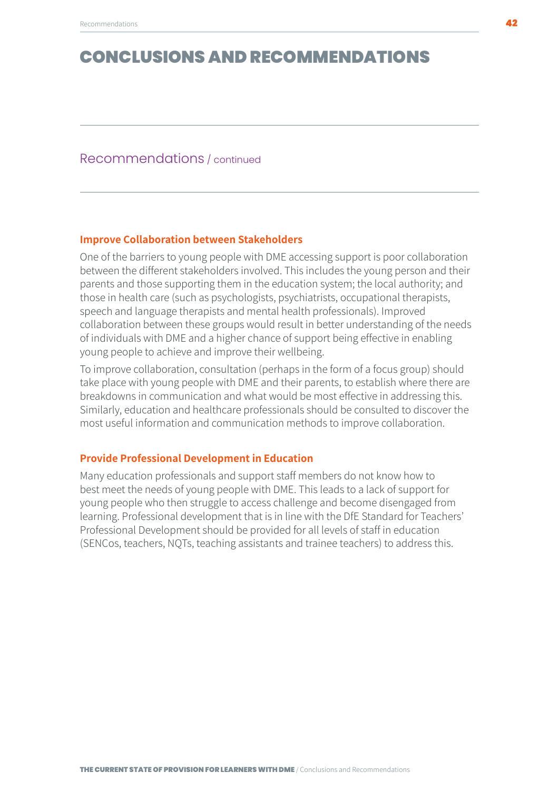#### Recommendations / continued

#### **Improve Collaboration between Stakeholders**

One of the barriers to young people with DME accessing support is poor collaboration between the different stakeholders involved. This includes the young person and their parents and those supporting them in the education system; the local authority; and those in health care (such as psychologists, psychiatrists, occupational therapists, speech and language therapists and mental health professionals). Improved collaboration between these groups would result in better understanding of the needs of individuals with DME and a higher chance of support being effective in enabling young people to achieve and improve their wellbeing.

To improve collaboration, consultation (perhaps in the form of a focus group) should take place with young people with DME and their parents, to establish where there are breakdowns in communication and what would be most effective in addressing this. Similarly, education and healthcare professionals should be consulted to discover the most useful information and communication methods to improve collaboration.

#### **Provide Professional Development in Education**

Many education professionals and support staff members do not know how to best meet the needs of young people with DME. This leads to a lack of support for young people who then struggle to access challenge and become disengaged from learning. Professional development that is in line with the DfE Standard for Teachers' Professional Development should be provided for all levels of staff in education (SENCos, teachers, NQTs, teaching assistants and trainee teachers) to address this.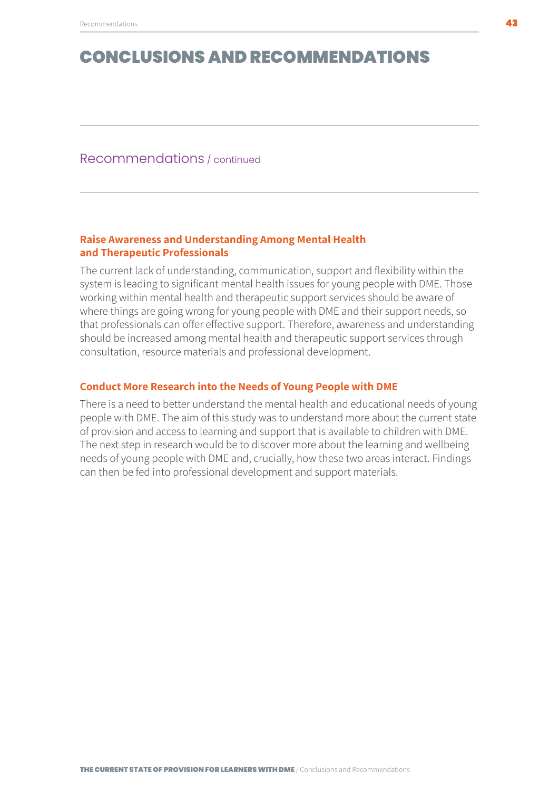#### Recommendations / continued

#### **Raise Awareness and Understanding Among Mental Health and Therapeutic Professionals**

The current lack of understanding, communication, support and flexibility within the system is leading to significant mental health issues for young people with DME. Those working within mental health and therapeutic support services should be aware of where things are going wrong for young people with DME and their support needs, so that professionals can offer effective support. Therefore, awareness and understanding should be increased among mental health and therapeutic support services through consultation, resource materials and professional development.

#### **Conduct More Research into the Needs of Young People with DME**

There is a need to better understand the mental health and educational needs of young people with DME. The aim of this study was to understand more about the current state of provision and access to learning and support that is available to children with DME. The next step in research would be to discover more about the learning and wellbeing needs of young people with DME and, crucially, how these two areas interact. Findings can then be fed into professional development and support materials.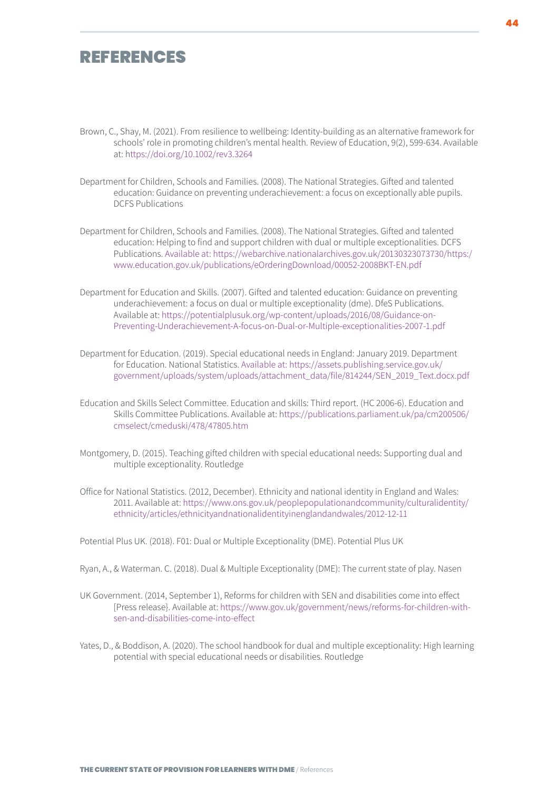### <span id="page-43-0"></span>REFERENCES

- Brown, C., Shay, M. (2021). From resilience to wellbeing: Identity-building as an alternative framework for schools' role in promoting children's mental health. Review of Education, 9(2), 599-634. Available at: h<ttps://doi.org/10.1002/rev3.3264>
- Department for Children, Schools and Families. (2008). The National Strategies. Gifted and talented education: Guidance on preventing underachievement: a focus on exceptionally able pupils. DCFS Publications
- Department for Children, Schools and Families. (2008). The National Strategies. Gifted and talented education: Helping to find and support children with dual or multiple exceptionalities. DCFS Publications. [Available at: https://webarchive.nationalarchives.gov.uk/20130323073730/https:/](Available at: https://webarchive.nationalarchives.gov.uk/20130323073730/https:/www.education.gov.uk/) [www.education.gov.uk/publications/eOrderingDownload/00052-2008BKT-EN.pdf](Available at: https://webarchive.nationalarchives.gov.uk/20130323073730/https:/www.education.gov.uk/)
- Department for Education and Skills. (2007). Gifted and talented education: Guidance on preventing underachievement: a focus on dual or multiple exceptionality (dme). DfeS Publications. Available at: [https://potentialplusuk.org/wp-content/uploads/2016/08/Guidance-on-](https://potentialplusuk.org/wp-content/uploads/2016/08/Guidance-on-Preventing-Underachievement-A-foc)[Preventing-Underachievement-A-focus-on-Dual-or-Multiple-exceptionalities-2007-1.pdf](https://potentialplusuk.org/wp-content/uploads/2016/08/Guidance-on-Preventing-Underachievement-A-foc)
- Department for Education. (2019). Special educational needs in England: January 2019. Department for Education. National Statistics. [Available at: https://assets.publishing.service.gov.uk/](Available at: https://assets.publishing.service.gov.uk/government/uploads/system/uploads/attachment_) [government/uploads/system/uploads/attachment\\_data/file/814244/SEN\\_2019\\_Text.docx.pdf](Available at: https://assets.publishing.service.gov.uk/government/uploads/system/uploads/attachment_)
- Education and Skills Select Committee. Education and skills: Third report. (HC 2006-6). Education and Skills Committee Publications. Available at: h[ttps://publications.parliament.uk/pa/cm200506/](ttps://publications.parliament.uk/pa/cm200506/cmselect/cmeduski/478/47805.htm) [cmselect/cmeduski/478/47805.htm](ttps://publications.parliament.uk/pa/cm200506/cmselect/cmeduski/478/47805.htm)
- Montgomery, D. (2015). Teaching gifted children with special educational needs: Supporting dual and multiple exceptionality. Routledge
- Office for National Statistics. (2012, December). Ethnicity and national identity in England and Wales: 2011. Available at: [https://www.ons.gov.uk/peoplepopulationandcommunity/culturalidentity/](https://www.ons.gov.uk/peoplepopulationandcommunity/culturalidentity/ethnicity/articles/ethnicityand) [ethnicity/articles/ethnicityandnationalidentityinenglandandwales/2012-12-11](https://www.ons.gov.uk/peoplepopulationandcommunity/culturalidentity/ethnicity/articles/ethnicityand)

Potential Plus UK. (2018). F01: Dual or Multiple Exceptionality (DME). Potential Plus UK

- Ryan, A., & Waterman. C. (2018). Dual & Multiple Exceptionality (DME): The current state of play. Nasen
- UK Government. (2014, September 1), Reforms for children with SEN and disabilities come into effect [Press release}. Available at: [https://www.gov.uk/government/news/reforms-for-children-with](https://www.gov.uk/government/news/reforms-for-children-with-sen-and-disabilities-come-into-effect)[sen-and-disabilities-come-into-effect](https://www.gov.uk/government/news/reforms-for-children-with-sen-and-disabilities-come-into-effect)
- Yates, D., & Boddison, A. (2020). The school handbook for dual and multiple exceptionality: High learning potential with special educational needs or disabilities. Routledge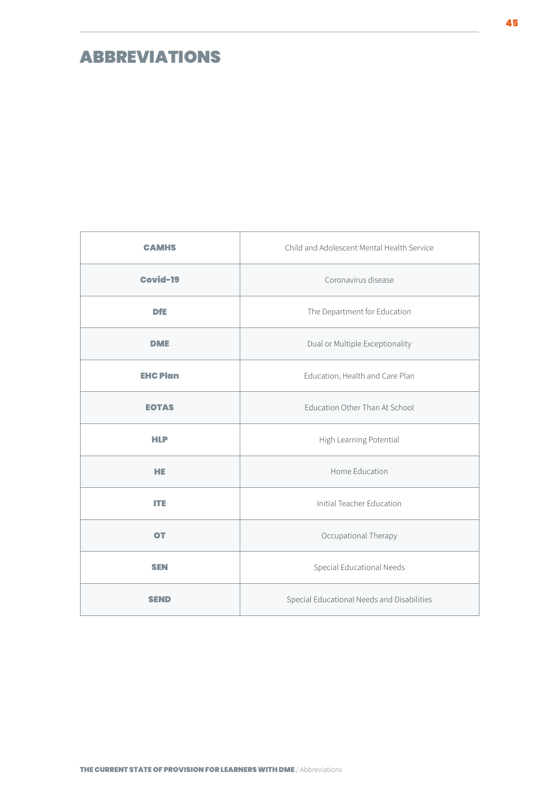### <span id="page-44-0"></span>ABBREVIATIONS

| <b>CAMHS</b>    | Child and Adolescent Mental Health Service |
|-----------------|--------------------------------------------|
| Covid-19        | Coronavirus disease                        |
| <b>DfE</b>      | The Department for Education               |
| <b>DME</b>      | Dual or Multiple Exceptionality            |
| <b>EHC Plan</b> | Education, Health and Care Plan            |
| <b>EOTAS</b>    | Education Other Than At School             |
| <b>HLP</b>      | High Learning Potential                    |
| <b>HE</b>       | Home Education                             |
| ITE             | Initial Teacher Education                  |
| <b>OT</b>       | Occupational Therapy                       |
| <b>SEN</b>      | Special Educational Needs                  |
| SEND            | Special Educational Needs and Disabilities |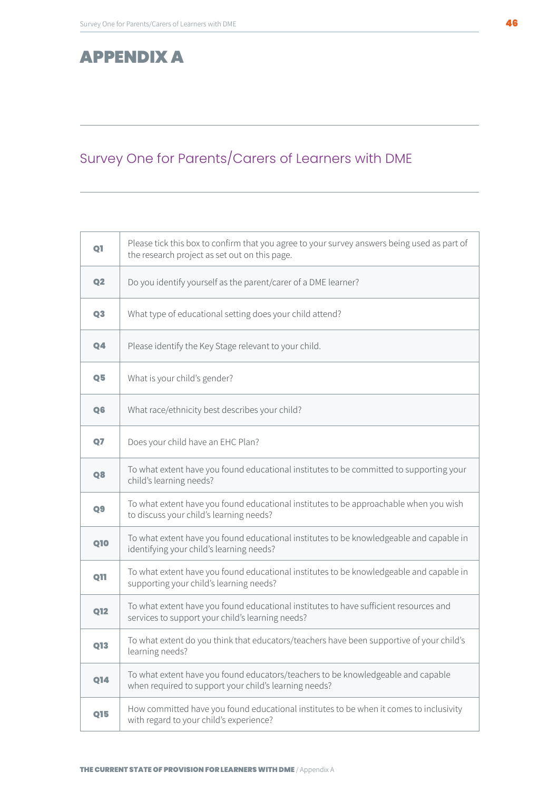### <span id="page-45-0"></span>APPENDIX A

### Survey One for Parents/Carers of Learners with DME

| Q1             | Please tick this box to confirm that you agree to your survey answers being used as part of<br>the research project as set out on this page. |
|----------------|----------------------------------------------------------------------------------------------------------------------------------------------|
| Q <sub>2</sub> | Do you identify yourself as the parent/carer of a DME learner?                                                                               |
| Q <sub>3</sub> | What type of educational setting does your child attend?                                                                                     |
| Q <sub>4</sub> | Please identify the Key Stage relevant to your child.                                                                                        |
| Q <sub>5</sub> | What is your child's gender?                                                                                                                 |
| Q <sub>6</sub> | What race/ethnicity best describes your child?                                                                                               |
| Q <sub>7</sub> | Does your child have an EHC Plan?                                                                                                            |
| Q8             | To what extent have you found educational institutes to be committed to supporting your<br>child's learning needs?                           |
| Q <sub>9</sub> | To what extent have you found educational institutes to be approachable when you wish<br>to discuss your child's learning needs?             |
| <b>Q10</b>     | To what extent have you found educational institutes to be knowledgeable and capable in<br>identifying your child's learning needs?          |
| <b>Q11</b>     | To what extent have you found educational institutes to be knowledgeable and capable in<br>supporting your child's learning needs?           |
| <b>Q12</b>     | To what extent have you found educational institutes to have sufficient resources and<br>services to support your child's learning needs?    |
| <b>Q13</b>     | To what extent do you think that educators/teachers have been supportive of your child's<br>learning needs?                                  |
| <b>Q14</b>     | To what extent have you found educators/teachers to be knowledgeable and capable<br>when required to support your child's learning needs?    |
| <b>Q15</b>     | How committed have you found educational institutes to be when it comes to inclusivity<br>with regard to your child's experience?            |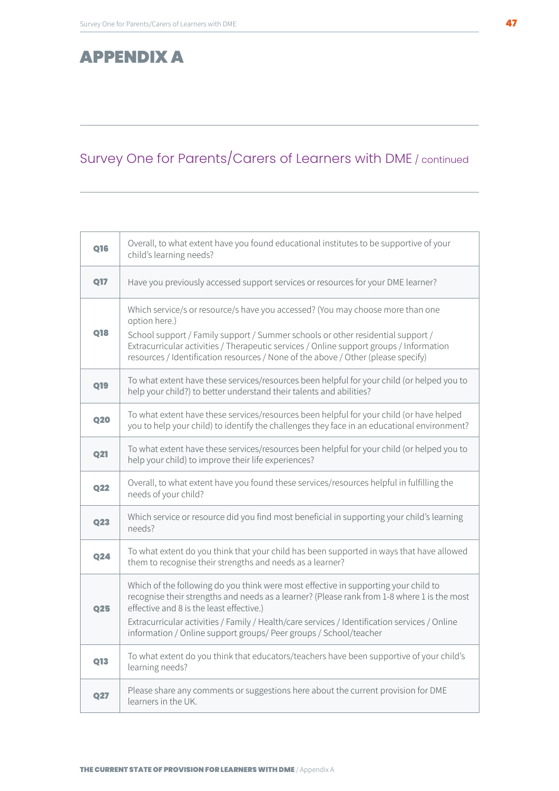### APPENDIX A

### Survey One for Parents/Carers of Learners with DME / continued

| <b>Q16</b> | Overall, to what extent have you found educational institutes to be supportive of your<br>child's learning needs?                                                                                                                                                                                                                                                                                    |
|------------|------------------------------------------------------------------------------------------------------------------------------------------------------------------------------------------------------------------------------------------------------------------------------------------------------------------------------------------------------------------------------------------------------|
| <b>Q17</b> | Have you previously accessed support services or resources for your DME learner?                                                                                                                                                                                                                                                                                                                     |
| <b>Q18</b> | Which service/s or resource/s have you accessed? (You may choose more than one<br>option here.)<br>School support / Family support / Summer schools or other residential support /<br>Extracurricular activities / Therapeutic services / Online support groups / Information<br>resources / Identification resources / None of the above / Other (please specify)                                   |
| <b>Q19</b> | To what extent have these services/resources been helpful for your child (or helped you to<br>help your child?) to better understand their talents and abilities?                                                                                                                                                                                                                                    |
| <b>Q20</b> | To what extent have these services/resources been helpful for your child (or have helped<br>you to help your child) to identify the challenges they face in an educational environment?                                                                                                                                                                                                              |
| <b>Q21</b> | To what extent have these services/resources been helpful for your child (or helped you to<br>help your child) to improve their life experiences?                                                                                                                                                                                                                                                    |
| Q22        | Overall, to what extent have you found these services/resources helpful in fulfilling the<br>needs of your child?                                                                                                                                                                                                                                                                                    |
| Q23        | Which service or resource did you find most beneficial in supporting your child's learning<br>needs?                                                                                                                                                                                                                                                                                                 |
| <b>Q24</b> | To what extent do you think that your child has been supported in ways that have allowed<br>them to recognise their strengths and needs as a learner?                                                                                                                                                                                                                                                |
| <b>Q25</b> | Which of the following do you think were most effective in supporting your child to<br>recognise their strengths and needs as a learner? (Please rank from 1-8 where 1 is the most<br>effective and 8 is the least effective.)<br>Extracurricular activities / Family / Health/care services / Identification services / Online<br>information / Online support groups/ Peer groups / School/teacher |
| <b>Q13</b> | To what extent do you think that educators/teachers have been supportive of your child's<br>learning needs?                                                                                                                                                                                                                                                                                          |
| <b>Q27</b> | Please share any comments or suggestions here about the current provision for DME<br>learners in the UK.                                                                                                                                                                                                                                                                                             |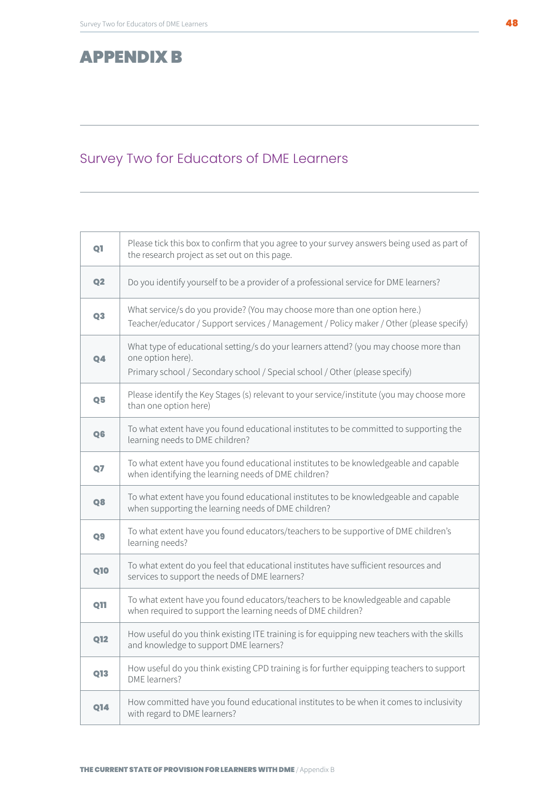### <span id="page-47-0"></span>APPENDIX B

### Survey Two for Educators of DME Learners

| Q1             | Please tick this box to confirm that you agree to your survey answers being used as part of<br>the research project as set out on this page.                                              |
|----------------|-------------------------------------------------------------------------------------------------------------------------------------------------------------------------------------------|
| Q <sub>2</sub> | Do you identify yourself to be a provider of a professional service for DME learners?                                                                                                     |
| Q3             | What service/s do you provide? (You may choose more than one option here.)<br>Teacher/educator / Support services / Management / Policy maker / Other (please specify)                    |
| 04             | What type of educational setting/s do your learners attend? (you may choose more than<br>one option here).<br>Primary school / Secondary school / Special school / Other (please specify) |
| Q <sub>5</sub> | Please identify the Key Stages (s) relevant to your service/institute (you may choose more<br>than one option here)                                                                       |
| Q <sub>6</sub> | To what extent have you found educational institutes to be committed to supporting the<br>learning needs to DME children?                                                                 |
| Q <sub>7</sub> | To what extent have you found educational institutes to be knowledgeable and capable<br>when identifying the learning needs of DME children?                                              |
| Q8             | To what extent have you found educational institutes to be knowledgeable and capable<br>when supporting the learning needs of DME children?                                               |
| Q <sub>9</sub> | To what extent have you found educators/teachers to be supportive of DME children's<br>learning needs?                                                                                    |
| <b>Q10</b>     | To what extent do you feel that educational institutes have sufficient resources and<br>services to support the needs of DME learners?                                                    |
| <b>Q11</b>     | To what extent have you found educators/teachers to be knowledgeable and capable<br>when required to support the learning needs of DME children?                                          |
| <b>Q12</b>     | How useful do you think existing ITE training is for equipping new teachers with the skills<br>and knowledge to support DME learners?                                                     |
| 013            | How useful do you think existing CPD training is for further equipping teachers to support<br>DME learners?                                                                               |
| <b>Q14</b>     | How committed have you found educational institutes to be when it comes to inclusivity<br>with regard to DME learners?                                                                    |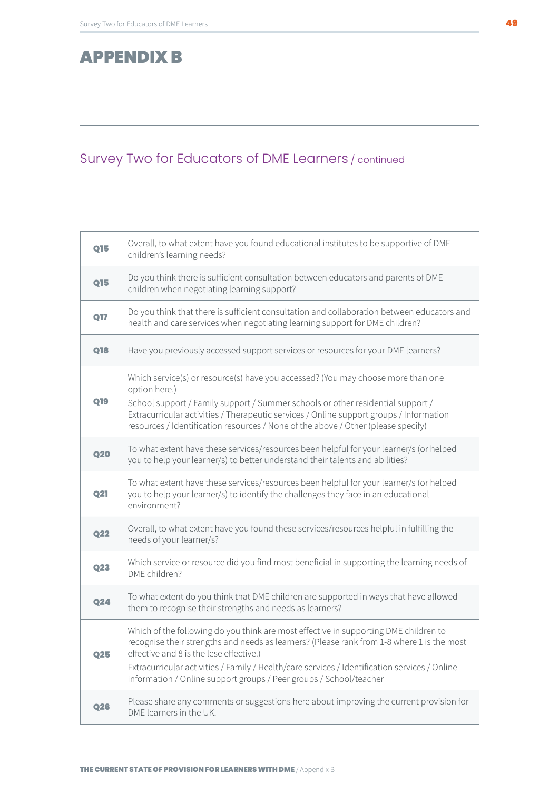### APPENDIX B

### Survey Two for Educators of DME Learners / continued

| Q15        | Overall, to what extent have you found educational institutes to be supportive of DME<br>children's learning needs?                                                                                                                                                                                                                                                                                  |
|------------|------------------------------------------------------------------------------------------------------------------------------------------------------------------------------------------------------------------------------------------------------------------------------------------------------------------------------------------------------------------------------------------------------|
| <b>Q15</b> | Do you think there is sufficient consultation between educators and parents of DME<br>children when negotiating learning support?                                                                                                                                                                                                                                                                    |
| <b>Q17</b> | Do you think that there is sufficient consultation and collaboration between educators and<br>health and care services when negotiating learning support for DME children?                                                                                                                                                                                                                           |
| <b>Q18</b> | Have you previously accessed support services or resources for your DME learners?                                                                                                                                                                                                                                                                                                                    |
| Q19        | Which service(s) or resource(s) have you accessed? (You may choose more than one<br>option here.)<br>School support / Family support / Summer schools or other residential support /<br>Extracurricular activities / Therapeutic services / Online support groups / Information<br>resources / Identification resources / None of the above / Other (please specify)                                 |
| <b>Q20</b> | To what extent have these services/resources been helpful for your learner/s (or helped<br>you to help your learner/s) to better understand their talents and abilities?                                                                                                                                                                                                                             |
| <b>Q21</b> | To what extent have these services/resources been helpful for your learner/s (or helped<br>you to help your learner/s) to identify the challenges they face in an educational<br>environment?                                                                                                                                                                                                        |
| <b>Q22</b> | Overall, to what extent have you found these services/resources helpful in fulfilling the<br>needs of your learner/s?                                                                                                                                                                                                                                                                                |
| Q23        | Which service or resource did you find most beneficial in supporting the learning needs of<br>DME children?                                                                                                                                                                                                                                                                                          |
| <b>Q24</b> | To what extent do you think that DME children are supported in ways that have allowed<br>them to recognise their strengths and needs as learners?                                                                                                                                                                                                                                                    |
| Q25        | Which of the following do you think are most effective in supporting DME children to<br>recognise their strengths and needs as learners? (Please rank from 1-8 where 1 is the most<br>effective and 8 is the lese effective.)<br>Extracurricular activities / Family / Health/care services / Identification services / Online<br>information / Online support groups / Peer groups / School/teacher |
| <b>Q26</b> | Please share any comments or suggestions here about improving the current provision for<br>DME learners in the UK.                                                                                                                                                                                                                                                                                   |